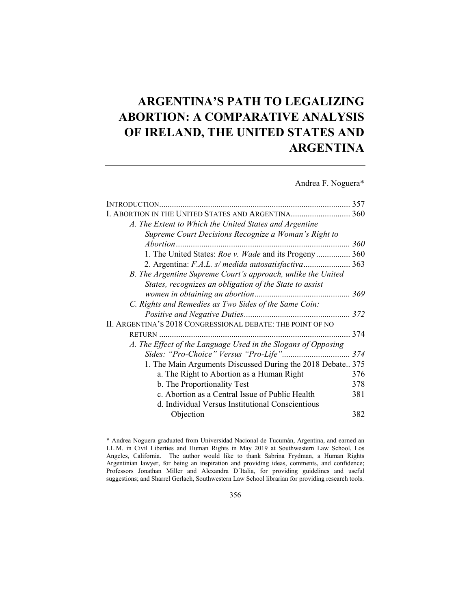# **ARGENTINA'S PATH TO LEGALIZING ABORTION: A COMPARATIVE ANALYSIS OF IRELAND, THE UNITED STATES AND ARGENTINA**

Andrea F. Noguera\*

|                                                               | 357 |
|---------------------------------------------------------------|-----|
|                                                               |     |
| A. The Extent to Which the United States and Argentine        |     |
| Supreme Court Decisions Recognize a Woman's Right to          |     |
|                                                               | 360 |
| 1. The United States: Roe v. Wade and its Progeny 360         |     |
| 2. Argentina: F.A.L. s/ medida autosatisfactiva 363           |     |
| B. The Argentine Supreme Court's approach, unlike the United  |     |
| States, recognizes an obligation of the State to assist       |     |
|                                                               |     |
| C. Rights and Remedies as Two Sides of the Same Coin:         |     |
|                                                               |     |
| II. ARGENTINA'S 2018 CONGRESSIONAL DEBATE: THE POINT OF NO    |     |
| RETURN                                                        | 374 |
| A. The Effect of the Language Used in the Slogans of Opposing |     |
| Sides: "Pro-Choice" Versus "Pro-Life"                         | 374 |
| 1. The Main Arguments Discussed During the 2018 Debate 375    |     |
| a. The Right to Abortion as a Human Right                     | 376 |
| b. The Proportionality Test                                   | 378 |
| c. Abortion as a Central Issue of Public Health               | 381 |
| d. Individual Versus Institutional Conscientious              |     |
| Objection                                                     | 382 |
|                                                               |     |

<sup>\*</sup> Andrea Noguera graduated from Universidad Nacional de Tucumán, Argentina, and earned an LL.M. in Civil Liberties and Human Rights in May 2019 at Southwestern Law School, Los Angeles, California. The author would like to thank Sabrina Frydman, a Human Rights Argentinian lawyer, for being an inspiration and providing ideas, comments, and confidence; Professors Jonathan Miller and Alexandra D´Italia, for providing guidelines and useful suggestions; and Sharrel Gerlach, Southwestern Law School librarian for providing research tools.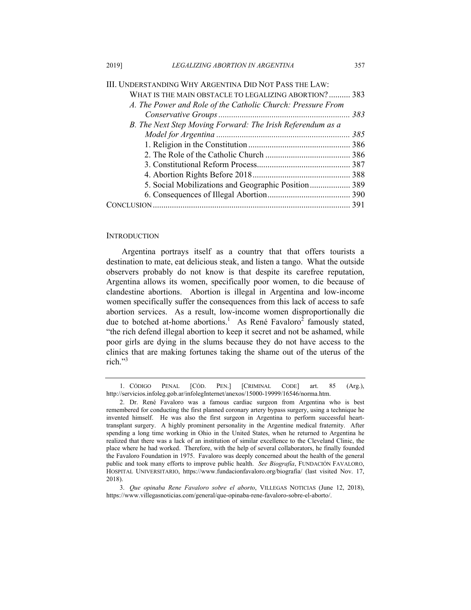| III. UNDERSTANDING WHY ARGENTINA DID NOT PASS THE LAW:      |  |
|-------------------------------------------------------------|--|
| WHAT IS THE MAIN OBSTACLE TO LEGALIZING ABORTION? 383       |  |
| A. The Power and Role of the Catholic Church: Pressure From |  |
|                                                             |  |
| B. The Next Step Moving Forward: The Irish Referendum as a  |  |
|                                                             |  |
|                                                             |  |
|                                                             |  |
|                                                             |  |
|                                                             |  |
| 5. Social Mobilizations and Geographic Position 389         |  |
|                                                             |  |
|                                                             |  |

#### **INTRODUCTION**

Argentina portrays itself as a country that that offers tourists a destination to mate, eat delicious steak, and listen a tango. What the outside observers probably do not know is that despite its carefree reputation, Argentina allows its women, specifically poor women, to die because of clandestine abortions. Abortion is illegal in Argentina and low-income women specifically suffer the consequences from this lack of access to safe abortion services. As a result, low-income women disproportionally die due to botched at-home abortions.<sup>1</sup> As René Favaloro<sup>2</sup> famously stated, "the rich defend illegal abortion to keep it secret and not be ashamed, while poor girls are dying in the slums because they do not have access to the clinics that are making fortunes taking the shame out of the uterus of the rich."3

 <sup>1.</sup> CÓDIGO PENAL [CÓD. PEN.] [CRIMINAL CODE] art. 85 (Arg.), http://servicios.infoleg.gob.ar/infolegInternet/anexos/15000-19999/16546/norma.htm.

 <sup>2.</sup> Dr. René Favaloro was a famous cardiac surgeon from Argentina who is best remembered for conducting the first planned coronary artery bypass surgery, using a technique he invented himself. He was also the first surgeon in Argentina to perform successful hearttransplant surgery. A highly prominent personality in the Argentine medical fraternity. After spending a long time working in Ohio in the United States, when he returned to Argentina he realized that there was a lack of an institution of similar excellence to the Cleveland Clinic, the place where he had worked. Therefore, with the help of several collaborators, he finally founded the Favaloro Foundation in 1975. Favaloro was deeply concerned about the health of the general public and took many efforts to improve public health. *See Biografía*, FUNDACIÓN FAVALORO, HOSPITAL UNIVERSITARIO, https://www.fundacionfavaloro.org/biografia/ (last visited Nov. 17, 2018).

 <sup>3.</sup> *Que opinaba Rene Favaloro sobre el aborto*, VILLEGAS NOTICIAS (June 12, 2018), https://www.villegasnoticias.com/general/que-opinaba-rene-favaloro-sobre-el-aborto/.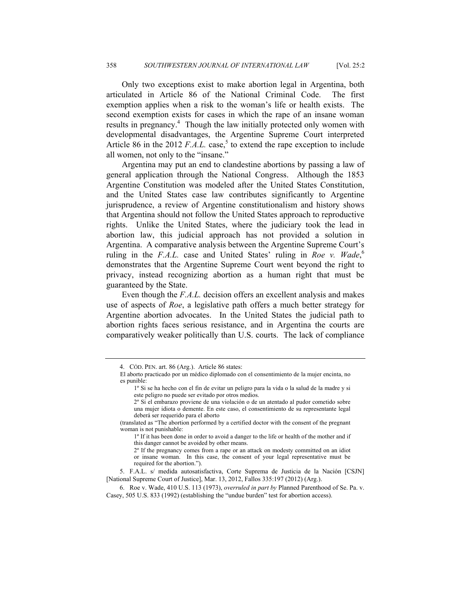Only two exceptions exist to make abortion legal in Argentina, both articulated in Article 86 of the National Criminal Code. The first exemption applies when a risk to the woman's life or health exists. The second exemption exists for cases in which the rape of an insane woman results in pregnancy.<sup>4</sup> Though the law initially protected only women with developmental disadvantages, the Argentine Supreme Court interpreted Article 86 in the 2012  $F.A.L.$  case,<sup>5</sup> to extend the rape exception to include all women, not only to the "insane."

Argentina may put an end to clandestine abortions by passing a law of general application through the National Congress. Although the 1853 Argentine Constitution was modeled after the United States Constitution, and the United States case law contributes significantly to Argentine jurisprudence, a review of Argentine constitutionalism and history shows that Argentina should not follow the United States approach to reproductive rights. Unlike the United States, where the judiciary took the lead in abortion law, this judicial approach has not provided a solution in Argentina. A comparative analysis between the Argentine Supreme Court's ruling in the *F.A.L.* case and United States' ruling in *Roe v. Wade*, 6 demonstrates that the Argentine Supreme Court went beyond the right to privacy, instead recognizing abortion as a human right that must be guaranteed by the State.

Even though the *F.A.L.* decision offers an excellent analysis and makes use of aspects of *Roe*, a legislative path offers a much better strategy for Argentine abortion advocates. In the United States the judicial path to abortion rights faces serious resistance, and in Argentina the courts are comparatively weaker politically than U.S. courts. The lack of compliance

 5. F.A.L. s/ medida autosatisfactiva, Corte Suprema de Justicia de la Nación [CSJN] [National Supreme Court of Justice], Mar. 13, 2012, Fallos 335:197 (2012) (Arg.).

 6. Roe v. Wade, 410 U.S. 113 (1973), *overruled in part by* Planned Parenthood of Se. Pa. v. Casey, 505 U.S. 833 (1992) (establishing the "undue burden" test for abortion access).

 <sup>4.</sup> CÓD. PEN. art. 86 (Arg.). Article 86 states:

El aborto practicado por un médico diplomado con el consentimiento de la mujer encinta, no es punible:

<sup>1</sup>º Si se ha hecho con el fin de evitar un peligro para la vida o la salud de la madre y si este peligro no puede ser evitado por otros medios.

<sup>2</sup>º Si el embarazo proviene de una violación o de un atentado al pudor cometido sobre una mujer idiota o demente. En este caso, el consentimiento de su representante legal deberá ser requerido para el aborto

<sup>(</sup>translated as "The abortion performed by a certified doctor with the consent of the pregnant woman is not punishable:

<sup>1</sup>º If it has been done in order to avoid a danger to the life or health of the mother and if this danger cannot be avoided by other means.

<sup>2</sup>º If the pregnancy comes from a rape or an attack on modesty committed on an idiot or insane woman. In this case, the consent of your legal representative must be required for the abortion.").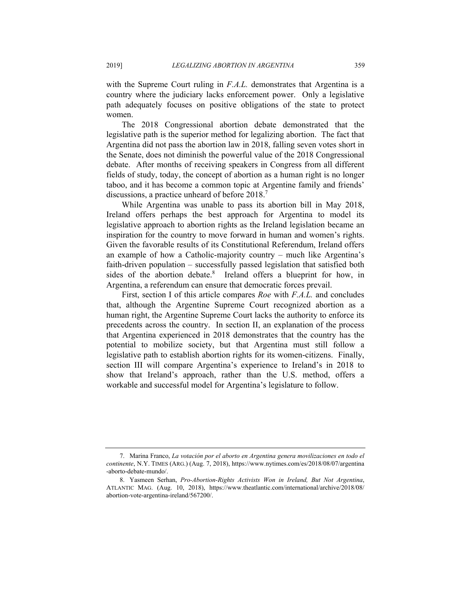with the Supreme Court ruling in *F.A.L.* demonstrates that Argentina is a country where the judiciary lacks enforcement power. Only a legislative path adequately focuses on positive obligations of the state to protect women.

The 2018 Congressional abortion debate demonstrated that the legislative path is the superior method for legalizing abortion. The fact that Argentina did not pass the abortion law in 2018, falling seven votes short in the Senate, does not diminish the powerful value of the 2018 Congressional debate. After months of receiving speakers in Congress from all different fields of study, today, the concept of abortion as a human right is no longer taboo, and it has become a common topic at Argentine family and friends' discussions, a practice unheard of before 2018.<sup>7</sup>

While Argentina was unable to pass its abortion bill in May 2018, Ireland offers perhaps the best approach for Argentina to model its legislative approach to abortion rights as the Ireland legislation became an inspiration for the country to move forward in human and women's rights. Given the favorable results of its Constitutional Referendum, Ireland offers an example of how a Catholic-majority country – much like Argentina's faith-driven population – successfully passed legislation that satisfied both sides of the abortion debate.<sup>8</sup> Ireland offers a blueprint for how, in Argentina, a referendum can ensure that democratic forces prevail.

First, section I of this article compares *Roe* with *F.A.L.* and concludes that, although the Argentine Supreme Court recognized abortion as a human right, the Argentine Supreme Court lacks the authority to enforce its precedents across the country. In section II, an explanation of the process that Argentina experienced in 2018 demonstrates that the country has the potential to mobilize society, but that Argentina must still follow a legislative path to establish abortion rights for its women-citizens. Finally, section III will compare Argentina's experience to Ireland's in 2018 to show that Ireland's approach, rather than the U.S. method, offers a workable and successful model for Argentina's legislature to follow.

 <sup>7.</sup> Marina Franco, *La votación por el aborto en Argentina genera movilizaciones en todo el continente*, N.Y. TIMES (ARG.) (Aug. 7, 2018), https://www.nytimes.com/es/2018/08/07/argentina -aborto-debate-mundo/.

 <sup>8.</sup> Yasmeen Serhan, *Pro-Abortion-Rights Activists Won in Ireland, But Not Argentina*, ATLANTIC MAG. (Aug. 10, 2018), https://www.theatlantic.com/international/archive/2018/08/ abortion-vote-argentina-ireland/567200/.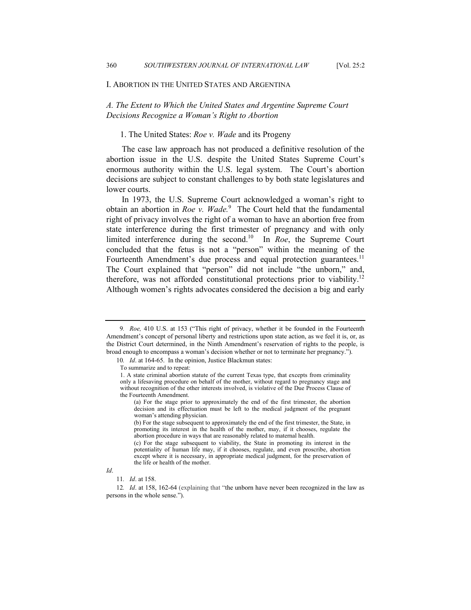#### I. ABORTION IN THE UNITED STATES AND ARGENTINA

*A. The Extent to Which the United States and Argentine Supreme Court Decisions Recognize a Woman's Right to Abortion* 

# 1. The United States: *Roe v. Wade* and its Progeny

The case law approach has not produced a definitive resolution of the abortion issue in the U.S. despite the United States Supreme Court's enormous authority within the U.S. legal system. The Court's abortion decisions are subject to constant challenges to by both state legislatures and lower courts.

In 1973, the U.S. Supreme Court acknowledged a woman's right to obtain an abortion in *Roe v. Wade.*<sup>9</sup> The Court held that the fundamental right of privacy involves the right of a woman to have an abortion free from state interference during the first trimester of pregnancy and with only limited interference during the second.10 In *Roe*, the Supreme Court concluded that the fetus is not a "person" within the meaning of the Fourteenth Amendment's due process and equal protection guarantees.<sup>11</sup> The Court explained that "person" did not include "the unborn," and, therefore, was not afforded constitutional protections prior to viability.<sup>12</sup> Although women's rights advocates considered the decision a big and early

<sup>9</sup>*. Roe,* 410 U.S. at 153 ("This right of privacy, whether it be founded in the Fourteenth Amendment's concept of personal liberty and restrictions upon state action, as we feel it is, or, as the District Court determined, in the Ninth Amendment's reservation of rights to the people, is broad enough to encompass a woman's decision whether or not to terminate her pregnancy.").

<sup>10</sup>*. Id*. at 164-65. In the opinion, Justice Blackmun states:

To summarize and to repeat:

<sup>1.</sup> A state criminal abortion statute of the current Texas type, that excepts from criminality only a lifesaving procedure on behalf of the mother, without regard to pregnancy stage and without recognition of the other interests involved, is violative of the Due Process Clause of the Fourteenth Amendment.

<sup>(</sup>a) For the stage prior to approximately the end of the first trimester, the abortion decision and its effectuation must be left to the medical judgment of the pregnant woman's attending physician.

<sup>(</sup>b) For the stage subsequent to approximately the end of the first trimester, the State, in promoting its interest in the health of the mother, may, if it chooses, regulate the abortion procedure in ways that are reasonably related to maternal health.

<sup>(</sup>c) For the stage subsequent to viability, the State in promoting its interest in the potentiality of human life may, if it chooses, regulate, and even proscribe, abortion except where it is necessary, in appropriate medical judgment, for the preservation of the life or health of the mother.

*Id*.

<sup>11</sup>*. Id*. at 158.

<sup>12</sup>*. Id*. at 158, 162-64 (explaining that "the unborn have never been recognized in the law as persons in the whole sense.").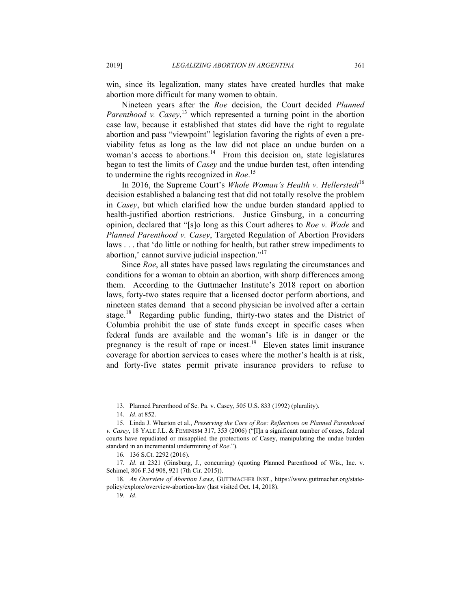win, since its legalization, many states have created hurdles that make abortion more difficult for many women to obtain.

Nineteen years after the *Roe* decision, the Court decided *Planned*  Parenthood v. Casey,<sup>13</sup> which represented a turning point in the abortion case law, because it established that states did have the right to regulate abortion and pass "viewpoint" legislation favoring the rights of even a previability fetus as long as the law did not place an undue burden on a woman's access to abortions.<sup>14</sup> From this decision on, state legislatures began to test the limits of *Casey* and the undue burden test, often intending to undermine the rights recognized in *Roe*. 15

In 2016, the Supreme Court's *Whole Woman's Health v. Hellerstedt*<sup>16</sup> decision established a balancing test that did not totally resolve the problem in *Casey*, but which clarified how the undue burden standard applied to health-justified abortion restrictions. Justice Ginsburg, in a concurring opinion, declared that "[s]o long as this Court adheres to *Roe v. Wade* and *Planned Parenthood v. Casey*, Targeted Regulation of Abortion Providers laws . . . that 'do little or nothing for health, but rather strew impediments to abortion,' cannot survive judicial inspection."17

Since *Roe*, all states have passed laws regulating the circumstances and conditions for a woman to obtain an abortion, with sharp differences among them. According to the Guttmacher Institute's 2018 report on abortion laws, forty-two states require that a licensed doctor perform abortions, and nineteen states demand that a second physician be involved after a certain stage.<sup>18</sup> Regarding public funding, thirty-two states and the District of Columbia prohibit the use of state funds except in specific cases when federal funds are available and the woman's life is in danger or the pregnancy is the result of rape or incest.<sup>19</sup> Eleven states limit insurance coverage for abortion services to cases where the mother's health is at risk, and forty-five states permit private insurance providers to refuse to

19*. Id*.

 <sup>13.</sup> Planned Parenthood of Se. Pa. v. Casey, 505 U.S. 833 (1992) (plurality).

<sup>14</sup>*. Id*. at 852.

 <sup>15.</sup> Linda J. Wharton et al., *Preserving the Core of Roe: Reflections on Planned Parenthood v. Casey*, 18 YALE J.L. & FEMINISM 317, 353 (2006) ("[I]n a significant number of cases, federal courts have repudiated or misapplied the protections of Casey, manipulating the undue burden standard in an incremental undermining of *Roe*.").

 <sup>16. 136</sup> S.Ct. 2292 (2016).

<sup>17</sup>*. Id*. at 2321 (Ginsburg, J., concurring) (quoting Planned Parenthood of Wis., Inc. v. Schimel, 806 F.3d 908, 921 (7th Cir. 2015)).

<sup>18</sup>*. An Overview of Abortion Laws*, GUTTMACHER INST., https://www.guttmacher.org/statepolicy/explore/overview-abortion-law (last visited Oct. 14, 2018).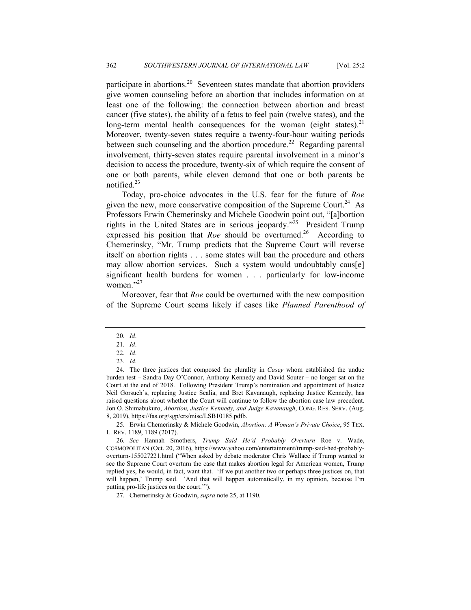participate in abortions.<sup>20</sup> Seventeen states mandate that abortion providers give women counseling before an abortion that includes information on at least one of the following: the connection between abortion and breast cancer (five states), the ability of a fetus to feel pain (twelve states), and the long-term mental health consequences for the woman (eight states).<sup>21</sup> Moreover, twenty-seven states require a twenty-four-hour waiting periods between such counseling and the abortion procedure.<sup>22</sup> Regarding parental involvement, thirty-seven states require parental involvement in a minor's decision to access the procedure, twenty-six of which require the consent of one or both parents, while eleven demand that one or both parents be notified.23

Today, pro-choice advocates in the U.S. fear for the future of *Roe*  given the new, more conservative composition of the Supreme Court.<sup>24</sup> As Professors Erwin Chemerinsky and Michele Goodwin point out, "[a]bortion rights in the United States are in serious jeopardy."25 President Trump expressed his position that *Roe* should be overturned.<sup>26</sup> According to Chemerinsky, "Mr. Trump predicts that the Supreme Court will reverse itself on abortion rights . . . some states will ban the procedure and others may allow abortion services. Such a system would undoubtably caus[e] significant health burdens for women . . . particularly for low-income women."<sup>27</sup>

Moreover, fear that *Roe* could be overturned with the new composition of the Supreme Court seems likely if cases like *Planned Parenthood of* 

 25. Erwin Chemerinsky & Michele Goodwin, *Abortion: A Woman's Private Choice*, 95 TEX. L. REV. 1189, 1189 (2017).

27. Chemerinsky & Goodwin, *supra* note 25, at 1190.

<sup>20</sup>*. Id*.

<sup>21</sup>*. Id*.

<sup>22</sup>*. Id*.

<sup>23</sup>*. Id*.

 <sup>24.</sup> The three justices that composed the plurality in *Casey* whom established the undue burden test – Sandra Day O'Connor, Anthony Kennedy and David Souter – no longer sat on the Court at the end of 2018. Following President Trump's nomination and appointment of Justice Neil Gorsuch's, replacing Justice Scalia, and Bret Kavanaugh, replacing Justice Kennedy, has raised questions about whether the Court will continue to follow the abortion case law precedent. Jon O. Shimabukuro, *Abortion, Justice Kennedy, and Judge Kavanaugh*, CONG. RES. SERV. (Aug. 8, 2019), https://fas.org/sgp/crs/misc/LSB10185.pdfb.

<sup>26</sup>*. See* Hannah Smothers, *Trump Said He'd Probably Overturn* Roe v. Wade, COSMOPOLITAN (Oct. 20, 2016), https://www.yahoo.com/entertainment/trump-said-hed-probablyoverturn-155027221.html ("When asked by debate moderator Chris Wallace if Trump wanted to see the Supreme Court overturn the case that makes abortion legal for American women, Trump replied yes, he would, in fact, want that. 'If we put another two or perhaps three justices on, that will happen,' Trump said. 'And that will happen automatically, in my opinion, because I'm putting pro-life justices on the court.'").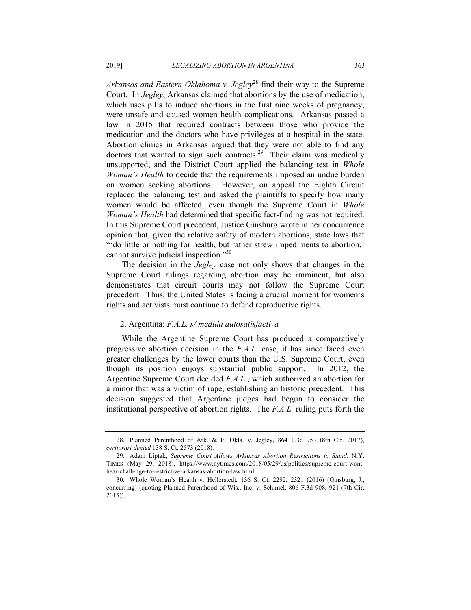*Arkansas and Eastern Oklahoma v. Jegley*28 find their way to the Supreme Court. In *Jegley*, Arkansas claimed that abortions by the use of medication, which uses pills to induce abortions in the first nine weeks of pregnancy, were unsafe and caused women health complications. Arkansas passed a law in 2015 that required contracts between those who provide the medication and the doctors who have privileges at a hospital in the state. Abortion clinics in Arkansas argued that they were not able to find any doctors that wanted to sign such contracts.<sup>29</sup> Their claim was medically unsupported, and the District Court applied the balancing test in *Whole Woman's Health* to decide that the requirements imposed an undue burden on women seeking abortions. However, on appeal the Eighth Circuit replaced the balancing test and asked the plaintiffs to specify how many women would be affected, even though the Supreme Court in *Whole Woman's Health* had determined that specific fact-finding was not required. In this Supreme Court precedent, Justice Ginsburg wrote in her concurrence opinion that, given the relative safety of modern abortions, state laws that "'do little or nothing for health, but rather strew impediments to abortion,' cannot survive judicial inspection."30

The decision in the *Jegley* case not only shows that changes in the Supreme Court rulings regarding abortion may be imminent, but also demonstrates that circuit courts may not follow the Supreme Court precedent. Thus, the United States is facing a crucial moment for women's rights and activists must continue to defend reproductive rights.

# 2. Argentina: *F.A.L. s/ medida autosatisfactiva*

While the Argentine Supreme Court has produced a comparatively progressive abortion decision in the *F.A.L.* case, it has since faced even greater challenges by the lower courts than the U.S. Supreme Court, even though its position enjoys substantial public support. In 2012, the Argentine Supreme Court decided *F.A.L.*, which authorized an abortion for a minor that was a victim of rape, establishing an historic precedent. This decision suggested that Argentine judges had begun to consider the institutional perspective of abortion rights. The *F.A.L.* ruling puts forth the

 <sup>28.</sup> Planned Parenthood of Ark. & E. Okla. v. Jegley, 864 F.3d 953 (8th Cir. 2017), *certiorari denied* 138 S. Ct. 2573 (2018).

 <sup>29.</sup> Adam Liptak, *Supreme Court Allows Arkansas Abortion Restrictions to Stand*, N.Y. TIMES (May 29, 2018), https://www.nytimes.com/2018/05/29/us/politics/supreme-court-wonthear-challenge-to-restrictive-arkansas-abortion-law.html.

 <sup>30.</sup> Whole Woman's Health v. Hellerstedt, 136 S. Ct. 2292, 2321 (2016) (Ginsburg, J., concurring) (quoting Planned Parenthood of Wis., Inc. v. Schimel, 806 F.3d 908, 921 (7th Cir. 2015)).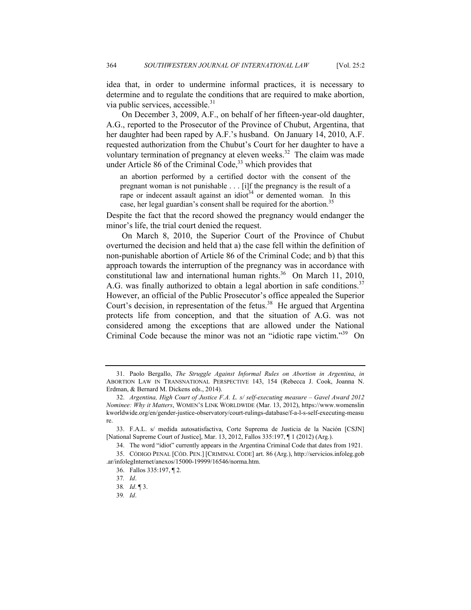idea that, in order to undermine informal practices, it is necessary to determine and to regulate the conditions that are required to make abortion, via public services, accessible.<sup>31</sup>

On December 3, 2009, A.F., on behalf of her fifteen-year-old daughter, A.G., reported to the Prosecutor of the Province of Chubut, Argentina, that her daughter had been raped by A.F.'s husband. On January 14, 2010, A.F. requested authorization from the Chubut's Court for her daughter to have a voluntary termination of pregnancy at eleven weeks.32 The claim was made under Article 86 of the Criminal Code, $33$  which provides that

an abortion performed by a certified doctor with the consent of the pregnant woman is not punishable . . . [i]f the pregnancy is the result of a rape or indecent assault against an idiot<sup>34</sup> or demented woman. In this case, her legal guardian's consent shall be required for the abortion.<sup>35</sup>

Despite the fact that the record showed the pregnancy would endanger the minor's life, the trial court denied the request.

On March 8, 2010, the Superior Court of the Province of Chubut overturned the decision and held that a) the case fell within the definition of non-punishable abortion of Article 86 of the Criminal Code; and b) that this approach towards the interruption of the pregnancy was in accordance with constitutional law and international human rights. $36$  On March 11, 2010, A.G. was finally authorized to obtain a legal abortion in safe conditions.<sup>37</sup> However, an official of the Public Prosecutor's office appealed the Superior Court's decision, in representation of the fetus.<sup>38</sup> He argued that Argentina protects life from conception, and that the situation of A.G. was not considered among the exceptions that are allowed under the National Criminal Code because the minor was not an "idiotic rape victim."39 On

 <sup>31.</sup> Paolo Bergallo, *The Struggle Against Informal Rules on Abortion in Argentina*, *in* ABORTION LAW IN TRANSNATIONAL PERSPECTIVE 143, 154 (Rebecca J. Cook, Joanna N. Erdman, & Bernard M. Dickens eds., 2014).

 <sup>32.</sup> *Argentina, High Court of Justice F.A. L. s/ self-executing measure – Gavel Award 2012 Nominee: Why it Matters*, WOMEN'S LINK WORLDWIDE (Mar. 13, 2012), https://www.womenslin kworldwide.org/en/gender-justice-observatory/court-rulings-database/f-a-l-s-self-executing-measu re.

 <sup>33.</sup> F.A.L. s/ medida autosatisfactiva, Corte Suprema de Justicia de la Nación [CSJN] [National Supreme Court of Justice], Mar. 13, 2012, Fallos 335:197, ¶ 1 (2012) (Arg.).

 <sup>34.</sup> The word "idiot" currently appears in the Argentina Criminal Code that dates from 1921.

 <sup>35.</sup> CÓDIGO PENAL [CÓD. PEN.] [CRIMINAL CODE] art. 86 (Arg.), http://servicios.infoleg.gob .ar/infolegInternet/anexos/15000-19999/16546/norma.htm.

 <sup>36.</sup> Fallos 335:197, ¶ 2.

<sup>37</sup>*. Id*.

<sup>38</sup>*. Id*. ¶ 3.

<sup>39</sup>*. Id*.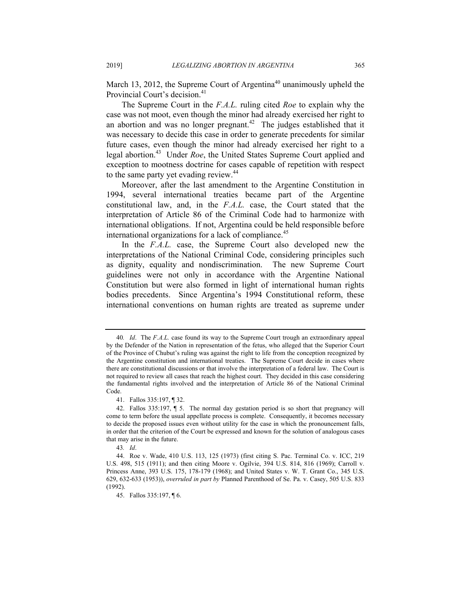March 13, 2012, the Supreme Court of Argentina<sup>40</sup> unanimously upheld the Provincial Court's decision.<sup>41</sup>

The Supreme Court in the *F.A.L.* ruling cited *Roe* to explain why the case was not moot, even though the minor had already exercised her right to an abortion and was no longer pregnant.<sup>42</sup> The judges established that it was necessary to decide this case in order to generate precedents for similar future cases, even though the minor had already exercised her right to a legal abortion.43 Under *Roe*, the United States Supreme Court applied and exception to mootness doctrine for cases capable of repetition with respect to the same party yet evading review.<sup>44</sup>

Moreover, after the last amendment to the Argentine Constitution in 1994, several international treaties became part of the Argentine constitutional law, and, in the *F.A.L.* case, the Court stated that the interpretation of Article 86 of the Criminal Code had to harmonize with international obligations. If not, Argentina could be held responsible before international organizations for a lack of compliance. $45$ 

In the *F.A.L.* case, the Supreme Court also developed new the interpretations of the National Criminal Code, considering principles such as dignity, equality and nondiscrimination. The new Supreme Court guidelines were not only in accordance with the Argentine National Constitution but were also formed in light of international human rights bodies precedents. Since Argentina's 1994 Constitutional reform, these international conventions on human rights are treated as supreme under

<sup>40</sup>*. Id*. The *F.A.L.* case found its way to the Supreme Court trough an extraordinary appeal by the Defender of the Nation in representation of the fetus, who alleged that the Superior Court of the Province of Chubut's ruling was against the right to life from the conception recognized by the Argentine constitution and international treaties. The Supreme Court decide in cases where there are constitutional discussions or that involve the interpretation of a federal law. The Court is not required to review all cases that reach the highest court. They decided in this case considering the fundamental rights involved and the interpretation of Article 86 of the National Criminal Code.

 <sup>41.</sup> Fallos 335:197, ¶ 32.

 <sup>42.</sup> Fallos 335:197, ¶ 5. The normal day gestation period is so short that pregnancy will come to term before the usual appellate process is complete. Consequently, it becomes necessary to decide the proposed issues even without utility for the case in which the pronouncement falls, in order that the criterion of the Court be expressed and known for the solution of analogous cases that may arise in the future.

<sup>43</sup>*. Id*.

 <sup>44.</sup> Roe v. Wade, 410 U.S. 113, 125 (1973) (first citing S. Pac. Terminal Co. v. ICC, 219 U.S. 498, 515 (1911); and then citing Moore v. Ogilvie, 394 U.S. 814, 816 (1969); Carroll v. Princess Anne, 393 U.S. 175, 178-179 (1968); and United States v. W. T. Grant Co., 345 U.S. 629, 632-633 (1953)), *overruled in part by* Planned Parenthood of Se. Pa. v. Casey, 505 U.S. 833 (1992).

 <sup>45.</sup> Fallos 335:197, ¶ 6.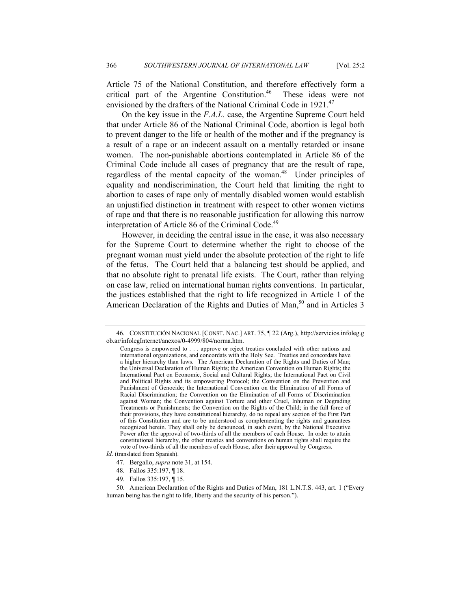Article 75 of the National Constitution, and therefore effectively form a critical part of the Argentine Constitution.<sup>46</sup> These ideas were not envisioned by the drafters of the National Criminal Code in 1921.<sup>47</sup>

On the key issue in the *F.A.L.* case, the Argentine Supreme Court held that under Article 86 of the National Criminal Code, abortion is legal both to prevent danger to the life or health of the mother and if the pregnancy is a result of a rape or an indecent assault on a mentally retarded or insane women. The non-punishable abortions contemplated in Article 86 of the Criminal Code include all cases of pregnancy that are the result of rape, regardless of the mental capacity of the woman.<sup>48</sup> Under principles of equality and nondiscrimination, the Court held that limiting the right to abortion to cases of rape only of mentally disabled women would establish an unjustified distinction in treatment with respect to other women victims of rape and that there is no reasonable justification for allowing this narrow interpretation of Article 86 of the Criminal Code.<sup>49</sup>

However, in deciding the central issue in the case, it was also necessary for the Supreme Court to determine whether the right to choose of the pregnant woman must yield under the absolute protection of the right to life of the fetus. The Court held that a balancing test should be applied, and that no absolute right to prenatal life exists. The Court, rather than relying on case law, relied on international human rights conventions. In particular, the justices established that the right to life recognized in Article 1 of the American Declaration of the Rights and Duties of Man,<sup>50</sup> and in Articles  $3$ 

*Id*. (translated from Spanish).

49. Fallos 335:197, ¶ 15.

 <sup>46.</sup> CONSTITUCIÓN NACIONAL [CONST. NAC.] ART. 75, ¶ 22 (Arg.), http://servicios.infoleg.g ob.ar/infolegInternet/anexos/0-4999/804/norma.htm.

Congress is empowered to . . . approve or reject treaties concluded with other nations and international organizations, and concordats with the Holy See. Treaties and concordats have a higher hierarchy than laws. The American Declaration of the Rights and Duties of Man; the Universal Declaration of Human Rights; the American Convention on Human Rights; the International Pact on Economic, Social and Cultural Rights; the International Pact on Civil and Political Rights and its empowering Protocol; the Convention on the Prevention and Punishment of Genocide; the International Convention on the Elimination of all Forms of Racial Discrimination; the Convention on the Elimination of all Forms of Discrimination against Woman; the Convention against Torture and other Cruel, Inhuman or Degrading Treatments or Punishments; the Convention on the Rights of the Child; in the full force of their provisions, they have constitutional hierarchy, do no repeal any section of the First Part of this Constitution and are to be understood as complementing the rights and guarantees recognized herein. They shall only be denounced, in such event, by the National Executive Power after the approval of two-thirds of all the members of each House. In order to attain constitutional hierarchy, the other treaties and conventions on human rights shall require the vote of two-thirds of all the members of each House, after their approval by Congress.

 <sup>47.</sup> Bergallo, *supra* note 31, at 154.

 <sup>48.</sup> Fallos 335:197, ¶ 18.

 <sup>50.</sup> American Declaration of the Rights and Duties of Man, 181 L.N.T.S. 443, art. 1 ("Every human being has the right to life, liberty and the security of his person.").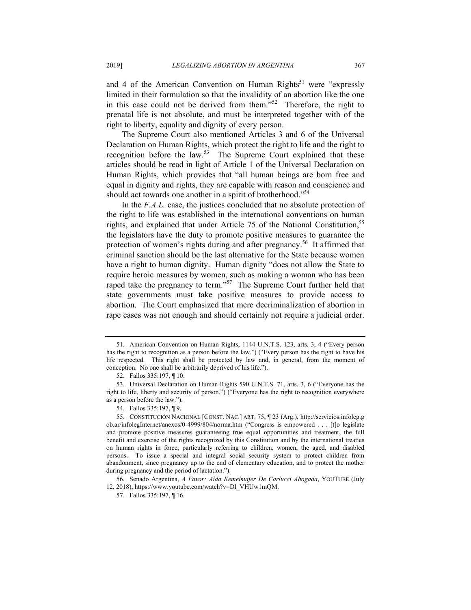and 4 of the American Convention on Human Rights<sup>51</sup> were "expressly limited in their formulation so that the invalidity of an abortion like the one in this case could not be derived from them."52 Therefore, the right to prenatal life is not absolute, and must be interpreted together with of the right to liberty, equality and dignity of every person.

The Supreme Court also mentioned Articles 3 and 6 of the Universal Declaration on Human Rights, which protect the right to life and the right to recognition before the law.<sup>53</sup> The Supreme Court explained that these articles should be read in light of Article 1 of the Universal Declaration on Human Rights, which provides that "all human beings are born free and equal in dignity and rights, they are capable with reason and conscience and should act towards one another in a spirit of brotherhood."<sup>54</sup>

In the *F.A.L.* case, the justices concluded that no absolute protection of the right to life was established in the international conventions on human rights, and explained that under Article 75 of the National Constitution,<sup>55</sup> the legislators have the duty to promote positive measures to guarantee the protection of women's rights during and after pregnancy.<sup>56</sup> It affirmed that criminal sanction should be the last alternative for the State because women have a right to human dignity. Human dignity "does not allow the State to require heroic measures by women, such as making a woman who has been raped take the pregnancy to term."57 The Supreme Court further held that state governments must take positive measures to provide access to abortion. The Court emphasized that mere decriminalization of abortion in rape cases was not enough and should certainly not require a judicial order.

 <sup>51.</sup> American Convention on Human Rights, 1144 U.N.T.S. 123, arts. 3, 4 ("Every person has the right to recognition as a person before the law.") ("Every person has the right to have his life respected. This right shall be protected by law and, in general, from the moment of conception. No one shall be arbitrarily deprived of his life.").

 <sup>52.</sup> Fallos 335:197, ¶ 10.

 <sup>53.</sup> Universal Declaration on Human Rights 590 U.N.T.S. 71, arts. 3, 6 ("Everyone has the right to life, liberty and security of person.") ("Everyone has the right to recognition everywhere as a person before the law.").

 <sup>54.</sup> Fallos 335:197, ¶ 9.

 <sup>55.</sup> CONSTITUCIÓN NACIONAL [CONST. NAC.] ART. 75, ¶ 23 (Arg.), http://servicios.infoleg.g ob.ar/infolegInternet/anexos/0-4999/804/norma.htm ("Congress is empowered . . . [t]o legislate and promote positive measures guaranteeing true equal opportunities and treatment, the full benefit and exercise of the rights recognized by this Constitution and by the international treaties on human rights in force, particularly referring to children, women, the aged, and disabled persons. To issue a special and integral social security system to protect children from abandonment, since pregnancy up to the end of elementary education, and to protect the mother during pregnancy and the period of lactation.").

 <sup>56.</sup> Senado Argentina, *A Favor: Aída Kemelmajer De Carlucci Abogada*, YOUTUBE (July 12, 2018), https://www.youtube.com/watch?v=Dl\_VHUw1mQM.

 <sup>57.</sup> Fallos 335:197, ¶ 16.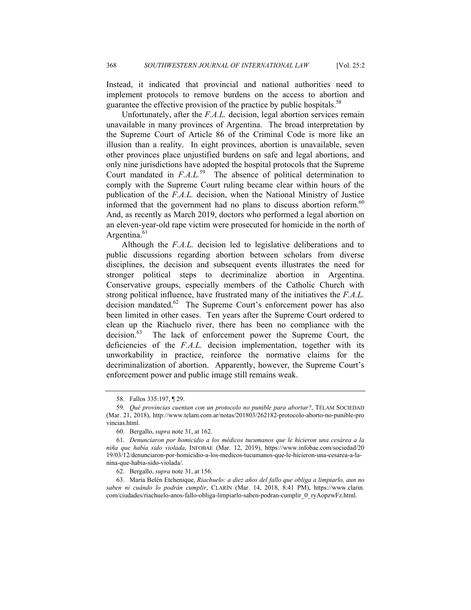Instead, it indicated that provincial and national authorities need to implement protocols to remove burdens on the access to abortion and guarantee the effective provision of the practice by public hospitals.<sup>58</sup>

Unfortunately, after the *F.A.L.* decision, legal abortion services remain unavailable in many provinces of Argentina. The broad interpretation by the Supreme Court of Article 86 of the Criminal Code is more like an illusion than a reality. In eight provinces, abortion is unavailable, seven other provinces place unjustified burdens on safe and legal abortions, and only nine jurisdictions have adopted the hospital protocols that the Supreme Court mandated in *F.A.L.*<sup>59</sup> The absence of political determination to comply with the Supreme Court ruling became clear within hours of the publication of the *F.A.L.* decision, when the National Ministry of Justice informed that the government had no plans to discuss abortion reform.<sup>60</sup> And, as recently as March 2019, doctors who performed a legal abortion on an eleven-year-old rape victim were prosecuted for homicide in the north of Argentina.<sup>61</sup>

Although the *F.A.L.* decision led to legislative deliberations and to public discussions regarding abortion between scholars from diverse disciplines, the decision and subsequent events illustrates the need for stronger political steps to decriminalize abortion in Argentina. Conservative groups, especially members of the Catholic Church with strong political influence, have frustrated many of the initiatives the *F.A.L.* decision mandated.<sup>62</sup> The Supreme Court's enforcement power has also been limited in other cases. Ten years after the Supreme Court ordered to clean up the Riachuelo river, there has been no compliance with the decision.<sup>63</sup> The lack of enforcement power the Supreme Court, the deficiencies of the *F.A.L.* decision implementation, together with its unworkability in practice, reinforce the normative claims for the decriminalization of abortion. Apparently, however, the Supreme Court's enforcement power and public image still remains weak.

 63. María Belén Etchenique, *Riachuelo: a diez años del fallo que obliga a limpiarlo, aun no saben ni cuándo lo podrán cumplir*, CLARÍN (Mar. 14, 2018, 8:41 PM), https://www.clarin. com/ciudades/riachuelo-anos-fallo-obliga-limpiarlo-saben-podran-cumplir\_0\_ryAopzwFz.html.

 <sup>58.</sup> Fallos 335:197, ¶ 29.

 <sup>59.</sup> *Qué provincias cuentan con un protocolo no punible para abortar?*, TÉLAM SOCIEDAD (Mar. 21, 2018), http://www.telam.com.ar/notas/201803/262182-protocolo-aborto-no-punible-pro vincias.html.

 <sup>60.</sup> Bergallo, *supra* note 31, at 162.

 <sup>61.</sup> *Denunciaron por homicidio a los médicos tucumanos que le hicieron una cesárea a la niña que había sido violada*, INFOBAE (Mar. 12, 2019), https://www.infobae.com/sociedad/20 19/03/12/denunciaron-por-homicidio-a-los-medicos-tucumanos-que-le-hicieron-una-cesarea-a-lanina-que-habia-sido-violada/.

 <sup>62.</sup> Bergallo, *supra* note 31, at 156.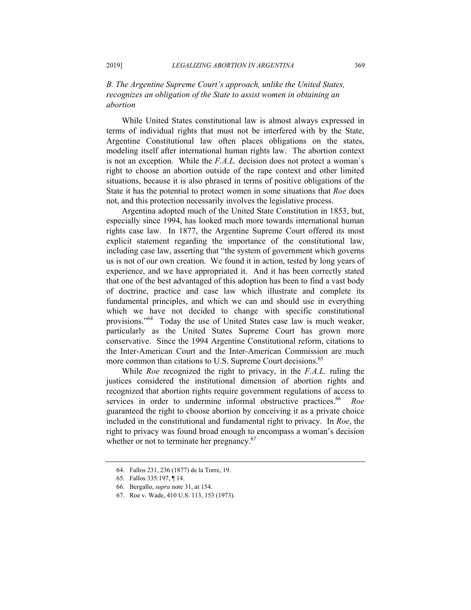# *B. The Argentine Supreme Court's approach, unlike the United States, recognizes an obligation of the State to assist women in obtaining an abortion*

While United States constitutional law is almost always expressed in terms of individual rights that must not be interfered with by the State, Argentine Constitutional law often places obligations on the states, modeling itself after international human rights law. The abortion context is not an exception. While the *F.A.L.* decision does not protect a woman´s right to choose an abortion outside of the rape context and other limited situations, because it is also phrased in terms of positive obligations of the State it has the potential to protect women in some situations that *Roe* does not, and this protection necessarily involves the legislative process.

Argentina adopted much of the United State Constitution in 1853, but, especially since 1994, has looked much more towards international human rights case law. In 1877, the Argentine Supreme Court offered its most explicit statement regarding the importance of the constitutional law, including case law, asserting that "the system of government which governs us is not of our own creation. We found it in action, tested by long years of experience, and we have appropriated it. And it has been correctly stated that one of the best advantaged of this adoption has been to find a vast body of doctrine, practice and case law which illustrate and complete its fundamental principles, and which we can and should use in everything which we have not decided to change with specific constitutional provisions."<sup>64</sup> Today the use of United States case law is much weaker, particularly as the United States Supreme Court has grown more conservative. Since the 1994 Argentine Constitutional reform, citations to the Inter-American Court and the Inter-American Commission are much more common than citations to U.S. Supreme Court decisions.<sup>65</sup>

While *Roe* recognized the right to privacy, in the *F.A.L.* ruling the justices considered the institutional dimension of abortion rights and recognized that abortion rights require government regulations of access to services in order to undermine informal obstructive practices.<sup>66</sup> Roe guaranteed the right to choose abortion by conceiving it as a private choice included in the constitutional and fundamental right to privacy. In *Roe*, the right to privacy was found broad enough to encompass a woman's decision whether or not to terminate her pregnancy.<sup>67</sup>

 <sup>64.</sup> Fallos 231, 236 (1877) de la Torre, 19.

 <sup>65.</sup> Fallos 335:197, ¶ 14.

 <sup>66.</sup> Bergallo, *supra* note 31, at 154.

 <sup>67.</sup> Roe v. Wade, 410 U.S. 113, 153 (1973).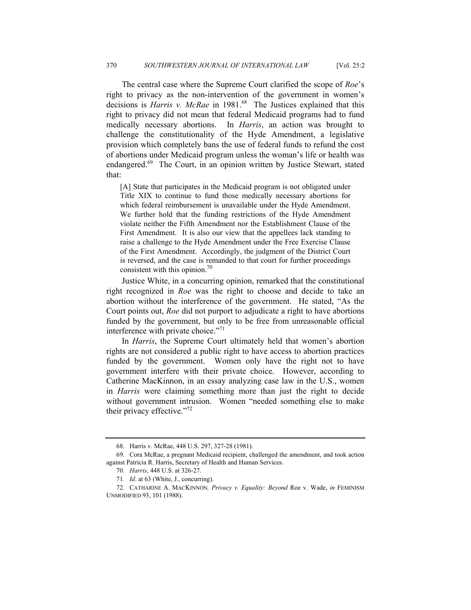The central case where the Supreme Court clarified the scope of *Roe*'s right to privacy as the non-intervention of the government in women's decisions is *Harris v. McRae* in 1981.<sup>68</sup> The Justices explained that this right to privacy did not mean that federal Medicaid programs had to fund medically necessary abortions. In *Harris*, an action was brought to challenge the constitutionality of the Hyde Amendment, a legislative provision which completely bans the use of federal funds to refund the cost of abortions under Medicaid program unless the woman's life or health was endangered.<sup>69</sup> The Court, in an opinion written by Justice Stewart, stated that:

[A] State that participates in the Medicaid program is not obligated under Title XIX to continue to fund those medically necessary abortions for which federal reimbursement is unavailable under the Hyde Amendment. We further hold that the funding restrictions of the Hyde Amendment violate neither the Fifth Amendment nor the Establishment Clause of the First Amendment. It is also our view that the appellees lack standing to raise a challenge to the Hyde Amendment under the Free Exercise Clause of the First Amendment. Accordingly, the judgment of the District Court is reversed, and the case is remanded to that court for further proceedings consistent with this opinion.<sup>70</sup>

Justice White, in a concurring opinion, remarked that the constitutional right recognized in *Roe* was the right to choose and decide to take an abortion without the interference of the government. He stated, "As the Court points out, *Roe* did not purport to adjudicate a right to have abortions funded by the government, but only to be free from unreasonable official interference with private choice."<sup>71</sup>

In *Harris*, the Supreme Court ultimately held that women's abortion rights are not considered a public right to have access to abortion practices funded by the government. Women only have the right not to have government interfere with their private choice. However, according to Catherine MacKinnon, in an essay analyzing case law in the U.S., women in *Harris* were claiming something more than just the right to decide without government intrusion. Women "needed something else to make their privacy effective." $72$ 

 <sup>68.</sup> Harris v. McRae, 448 U.S. 297, 327-28 (1981).

 <sup>69.</sup> Cora McRae, a pregnant Medicaid recipient, challenged the amendment, and took action against Patricia R. Harris, Secretary of Health and Human Services.

<sup>70</sup>*. Harris*, 448 U.S. at 326-27.

<sup>71</sup>*. Id*. at 63 (White, J., concurring).

 <sup>72.</sup> CATHARINE A. MACKINNON*, Privacy v. Equality: Beyond* Roe v. Wade, *in* FEMINISM UNMODIFIED 93, 101 (1988).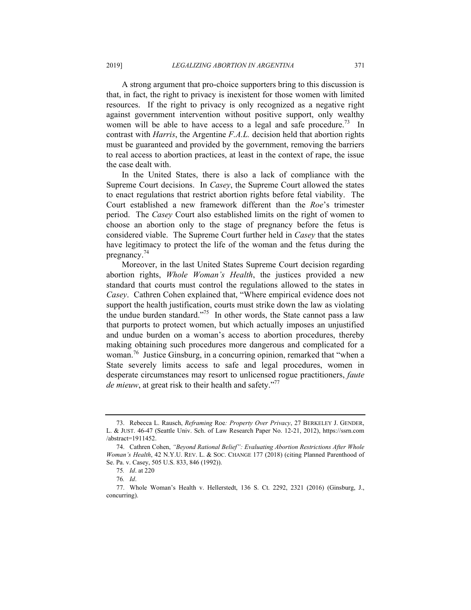A strong argument that pro-choice supporters bring to this discussion is that, in fact, the right to privacy is inexistent for those women with limited resources. If the right to privacy is only recognized as a negative right against government intervention without positive support, only wealthy women will be able to have access to a legal and safe procedure.<sup>73</sup> In contrast with *Harris*, the Argentine *F.A.L.* decision held that abortion rights must be guaranteed and provided by the government, removing the barriers to real access to abortion practices, at least in the context of rape, the issue the case dealt with.

In the United States, there is also a lack of compliance with the Supreme Court decisions. In *Casey*, the Supreme Court allowed the states to enact regulations that restrict abortion rights before fetal viability. The Court established a new framework different than the *Roe*'s trimester period. The *Casey* Court also established limits on the right of women to choose an abortion only to the stage of pregnancy before the fetus is considered viable. The Supreme Court further held in *Casey* that the states have legitimacy to protect the life of the woman and the fetus during the pregnancy.74

Moreover, in the last United States Supreme Court decision regarding abortion rights, *Whole Woman's Health*, the justices provided a new standard that courts must control the regulations allowed to the states in *Casey*. Cathren Cohen explained that, "Where empirical evidence does not support the health justification, courts must strike down the law as violating the undue burden standard."<sup>75</sup> In other words, the State cannot pass a law that purports to protect women, but which actually imposes an unjustified and undue burden on a woman's access to abortion procedures, thereby making obtaining such procedures more dangerous and complicated for a woman.76 Justice Ginsburg, in a concurring opinion, remarked that "when a State severely limits access to safe and legal procedures, women in desperate circumstances may resort to unlicensed rogue practitioners, *faute de mieuw*, at great risk to their health and safety."<sup>77</sup>

 <sup>73.</sup> Rebecca L. Rausch, *Reframing* Roe*: Property Over Privacy*, 27 BERKELEY J. GENDER, L. & JUST. 46-47 (Seattle Univ. Sch. of Law Research Paper No. 12-21, 2012), https://ssrn.com /abstract=1911452.

 <sup>74.</sup> Cathren Cohen, *"Beyond Rational Belief": Evaluating Abortion Restrictions After Whole Woman's Health*, 42 N.Y.U. REV. L. & SOC. CHANGE 177 (2018) (citing Planned Parenthood of Se. Pa. v. Casey, 505 U.S. 833, 846 (1992)).

<sup>75</sup>*. Id*. at 220

<sup>76</sup>*. Id*.

 <sup>77.</sup> Whole Woman's Health v. Hellerstedt, 136 S. Ct. 2292, 2321 (2016) (Ginsburg, J., concurring).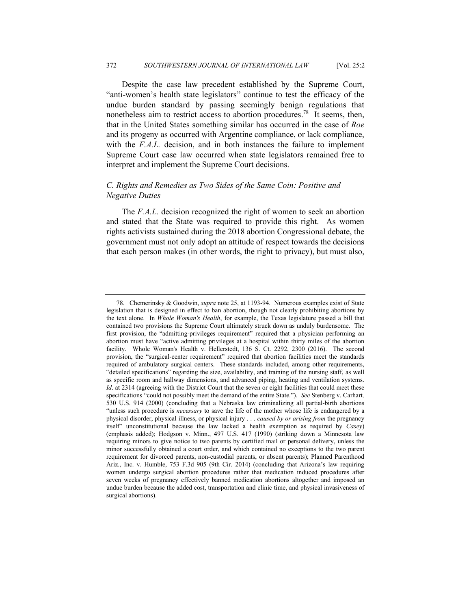Despite the case law precedent established by the Supreme Court, "anti-women's health state legislators" continue to test the efficacy of the undue burden standard by passing seemingly benign regulations that nonetheless aim to restrict access to abortion procedures.<sup>78</sup> It seems, then, that in the United States something similar has occurred in the case of *Roe*  and its progeny as occurred with Argentine compliance, or lack compliance, with the *F.A.L.* decision, and in both instances the failure to implement Supreme Court case law occurred when state legislators remained free to interpret and implement the Supreme Court decisions.

# *C. Rights and Remedies as Two Sides of the Same Coin: Positive and Negative Duties*

The *F.A.L.* decision recognized the right of women to seek an abortion and stated that the State was required to provide this right. As women rights activists sustained during the 2018 abortion Congressional debate, the government must not only adopt an attitude of respect towards the decisions that each person makes (in other words, the right to privacy), but must also,

 <sup>78.</sup> Chemerinsky & Goodwin, *supra* note 25, at 1193-94. Numerous examples exist of State legislation that is designed in effect to ban abortion, though not clearly prohibiting abortions by the text alone. In *Whole Woman's Health*, for example, the Texas legislature passed a bill that contained two provisions the Supreme Court ultimately struck down as unduly burdensome. The first provision, the "admitting-privileges requirement" required that a physician performing an abortion must have "active admitting privileges at a hospital within thirty miles of the abortion facility. Whole Woman's Health v. Hellerstedt, 136 S. Ct. 2292, 2300 (2016). The second provision, the "surgical-center requirement" required that abortion facilities meet the standards required of ambulatory surgical centers. These standards included, among other requirements, "detailed specifications" regarding the size, availability, and training of the nursing staff, as well as specific room and hallway dimensions, and advanced piping, heating and ventilation systems. *Id*. at 2314 (agreeing with the District Court that the seven or eight facilities that could meet these specifications "could not possibly meet the demand of the entire State."). *See* Stenberg v. Carhart*,*  530 U.S. 914 (2000) (concluding that a Nebraska law criminalizing all partial-birth abortions "unless such procedure is *necessary* to save the life of the mother whose life is endangered by a physical disorder, physical illness, or physical injury . . . *caused by or arising from* the pregnancy itself" unconstitutional because the law lacked a health exemption as required by *Casey*) (emphasis added); Hodgson v. Minn., 497 U.S. 417 (1990) (striking down a Minnesota law requiring minors to give notice to two parents by certified mail or personal delivery, unless the minor successfully obtained a court order, and which contained no exceptions to the two parent requirement for divorced parents, non-custodial parents, or absent parents); Planned Parenthood Ariz., Inc. v. Humble, 753 F.3d 905 (9th Cir. 2014) (concluding that Arizona's law requiring women undergo surgical abortion procedures rather that medication induced procedures after seven weeks of pregnancy effectively banned medication abortions altogether and imposed an undue burden because the added cost, transportation and clinic time, and physical invasiveness of surgical abortions).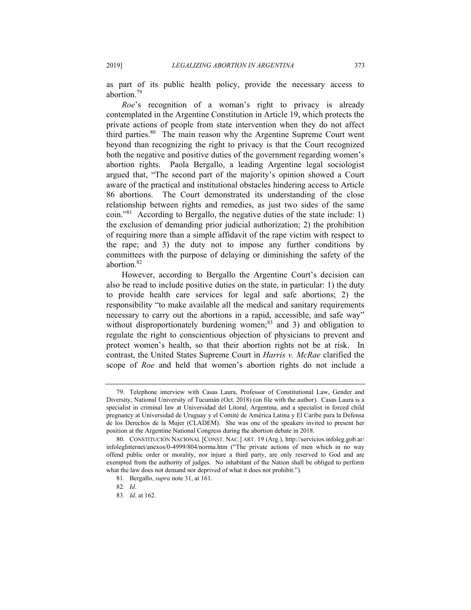as part of its public health policy, provide the necessary access to abortion.79

*Roe*'s recognition of a woman's right to privacy is already contemplated in the Argentine Constitution in Article 19, which protects the private actions of people from state intervention when they do not affect third parties.<sup>80</sup> The main reason why the Argentine Supreme Court went beyond than recognizing the right to privacy is that the Court recognized both the negative and positive duties of the government regarding women's abortion rights. Paola Bergallo, a leading Argentine legal sociologist argued that, "The second part of the majority's opinion showed a Court aware of the practical and institutional obstacles hindering access to Article 86 abortions. The Court demonstrated its understanding of the close relationship between rights and remedies, as just two sides of the same coin."81 According to Bergallo, the negative duties of the state include: 1) the exclusion of demanding prior judicial authorization; 2) the prohibition of requiring more than a simple affidavit of the rape victim with respect to the rape; and 3) the duty not to impose any further conditions by committees with the purpose of delaying or diminishing the safety of the abortion.82

However, according to Bergallo the Argentine Court's decision can also be read to include positive duties on the state, in particular: 1) the duty to provide health care services for legal and safe abortions; 2) the responsibility "to make available all the medical and sanitary requirements necessary to carry out the abortions in a rapid, accessible, and safe way" without disproportionately burdening women; $83$  and 3) and obligation to regulate the right to conscientious objection of physicians to prevent and protect women's health, so that their abortion rights not be at risk. In contrast, the United States Supreme Court in *Harris v. McRae* clarified the scope of *Roe* and held that women's abortion rights do not include a

 <sup>79.</sup> Telephone interview with Casas Laura, Professor of Constitutional Law, Gender and Diversity, National University of Tucumán (Oct. 2018) (on file with the author). Casas Laura is a specialist in criminal law at Universidad del Litoral, Argentina, and a specialist in forced child pregnancy at Universidad de Uruguay y el Comité de América Latina y El Caribe para la Defensa de los Derechos de la Mujer (CLADEM). She was one of the speakers invited to present her position at the Argentine National Congress during the abortion debate in 2018.

 <sup>80.</sup> CONSTITUCIÓN NACIONAL [CONST. NAC.] ART. 19 (Arg.), http://servicios.infoleg.gob.ar/ infolegInternet/anexos/0-4999/804/norma.htm ("The private actions of men which in no way offend public order or morality, nor injure a third party, are only reserved to God and are exempted from the authority of judges. No inhabitant of the Nation shall be obliged to perform what the law does not demand nor deprived of what it does not prohibit.").

 <sup>81.</sup> Bergallo, *supra* note 31, at 161.

<sup>82</sup>*. Id*.

<sup>83</sup>*. Id*. at 162.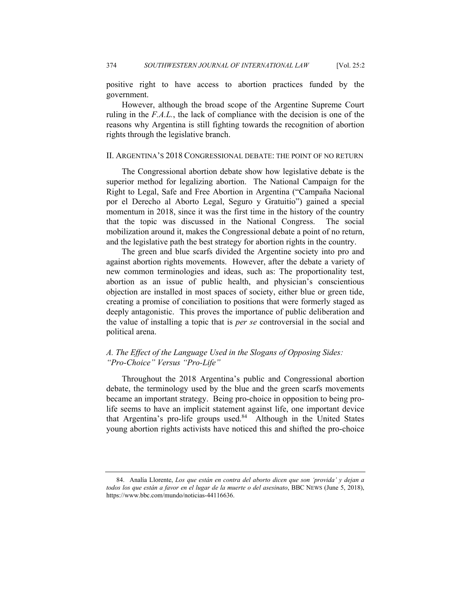positive right to have access to abortion practices funded by the government.

However, although the broad scope of the Argentine Supreme Court ruling in the *F.A.L.*, the lack of compliance with the decision is one of the reasons why Argentina is still fighting towards the recognition of abortion rights through the legislative branch.

#### II. ARGENTINA'S 2018 CONGRESSIONAL DEBATE: THE POINT OF NO RETURN

The Congressional abortion debate show how legislative debate is the superior method for legalizing abortion. The National Campaign for the Right to Legal, Safe and Free Abortion in Argentina ("Campaña Nacional por el Derecho al Aborto Legal, Seguro y Gratuitio") gained a special momentum in 2018, since it was the first time in the history of the country that the topic was discussed in the National Congress. The social mobilization around it, makes the Congressional debate a point of no return, and the legislative path the best strategy for abortion rights in the country.

The green and blue scarfs divided the Argentine society into pro and against abortion rights movements. However, after the debate a variety of new common terminologies and ideas, such as: The proportionality test, abortion as an issue of public health, and physician's conscientious objection are installed in most spaces of society, either blue or green tide, creating a promise of conciliation to positions that were formerly staged as deeply antagonistic. This proves the importance of public deliberation and the value of installing a topic that is *per se* controversial in the social and political arena.

# *A. The Effect of the Language Used in the Slogans of Opposing Sides: "Pro-Choice" Versus "Pro-Life"*

Throughout the 2018 Argentina's public and Congressional abortion debate, the terminology used by the blue and the green scarfs movements became an important strategy. Being pro-choice in opposition to being prolife seems to have an implicit statement against life, one important device that Argentina's pro-life groups used.<sup>84</sup> Although in the United States young abortion rights activists have noticed this and shifted the pro-choice

 <sup>84.</sup> Analía Llorente, *Los que están en contra del aborto dicen que son 'provida' y dejan a todos los que están a favor en el lugar de la muerte o del asesinato*, BBC NEWS (June 5, 2018), https://www.bbc.com/mundo/noticias-44116636.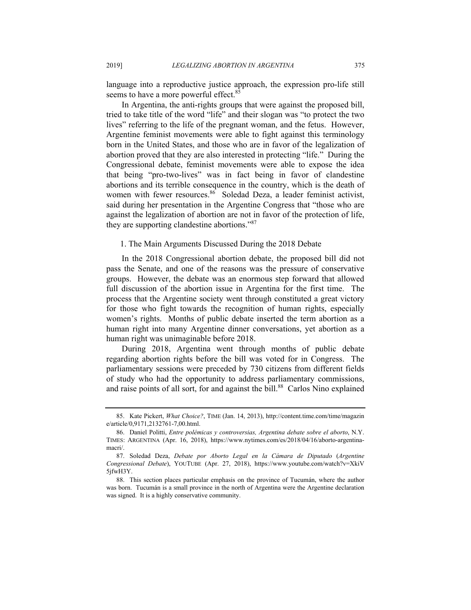language into a reproductive justice approach, the expression pro-life still seems to have a more powerful effect.<sup>85</sup>

In Argentina, the anti-rights groups that were against the proposed bill, tried to take title of the word "life" and their slogan was "to protect the two lives" referring to the life of the pregnant woman, and the fetus. However, Argentine feminist movements were able to fight against this terminology born in the United States, and those who are in favor of the legalization of abortion proved that they are also interested in protecting "life." During the Congressional debate, feminist movements were able to expose the idea that being "pro-two-lives" was in fact being in favor of clandestine abortions and its terrible consequence in the country, which is the death of women with fewer resources.<sup>86</sup> Soledad Deza, a leader feminist activist, said during her presentation in the Argentine Congress that "those who are against the legalization of abortion are not in favor of the protection of life, they are supporting clandestine abortions."87

#### 1. The Main Arguments Discussed During the 2018 Debate

In the 2018 Congressional abortion debate, the proposed bill did not pass the Senate, and one of the reasons was the pressure of conservative groups. However, the debate was an enormous step forward that allowed full discussion of the abortion issue in Argentina for the first time. The process that the Argentine society went through constituted a great victory for those who fight towards the recognition of human rights, especially women's rights. Months of public debate inserted the term abortion as a human right into many Argentine dinner conversations, yet abortion as a human right was unimaginable before 2018.

During 2018, Argentina went through months of public debate regarding abortion rights before the bill was voted for in Congress. The parliamentary sessions were preceded by 730 citizens from different fields of study who had the opportunity to address parliamentary commissions, and raise points of all sort, for and against the bill.<sup>88</sup> Carlos Nino explained

 <sup>85.</sup> Kate Pickert, *What Choice?*, TIME (Jan. 14, 2013), http://content.time.com/time/magazin e/article/0,9171,2132761-7,00.html.

 <sup>86.</sup> Daniel Politti, *Entre polémicas y controversias, Argentina debate sobre el aborto*, N.Y. TIMES: ARGENTINA (Apr. 16, 2018), https://www.nytimes.com/es/2018/04/16/aborto-argentinamacri/.

 <sup>87.</sup> Soledad Deza, *Debate por Aborto Legal en la Cámara de Diputado* (*Argentine Congressional Debate*), YOUTUBE (Apr. 27, 2018), https://www.youtube.com/watch?v=XkiV 5jfwH3Y.

 <sup>88.</sup> This section places particular emphasis on the province of Tucumán, where the author was born. Tucumán is a small province in the north of Argentina were the Argentine declaration was signed. It is a highly conservative community.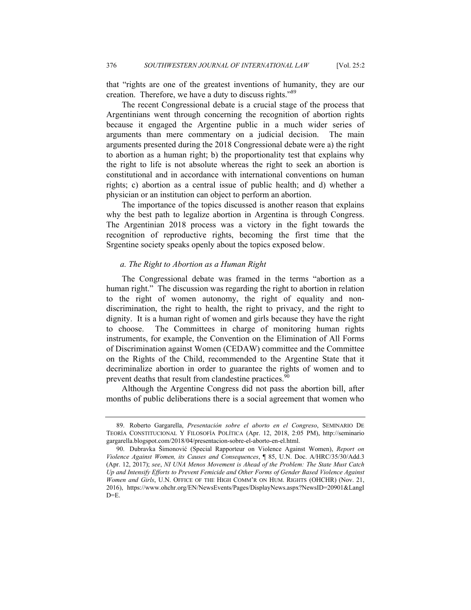that "rights are one of the greatest inventions of humanity, they are our creation. Therefore, we have a duty to discuss rights."89

The recent Congressional debate is a crucial stage of the process that Argentinians went through concerning the recognition of abortion rights because it engaged the Argentine public in a much wider series of arguments than mere commentary on a judicial decision. The main arguments presented during the 2018 Congressional debate were a) the right to abortion as a human right; b) the proportionality test that explains why the right to life is not absolute whereas the right to seek an abortion is constitutional and in accordance with international conventions on human rights; c) abortion as a central issue of public health; and d) whether a physician or an institution can object to perform an abortion.

The importance of the topics discussed is another reason that explains why the best path to legalize abortion in Argentina is through Congress. The Argentinian 2018 process was a victory in the fight towards the recognition of reproductive rights, becoming the first time that the Srgentine society speaks openly about the topics exposed below.

#### *a. The Right to Abortion as a Human Right*

The Congressional debate was framed in the terms "abortion as a human right." The discussion was regarding the right to abortion in relation to the right of women autonomy, the right of equality and nondiscrimination, the right to health, the right to privacy, and the right to dignity. It is a human right of women and girls because they have the right to choose. The Committees in charge of monitoring human rights instruments, for example, the Convention on the Elimination of All Forms of Discrimination against Women (CEDAW) committee and the Committee on the Rights of the Child, recommended to the Argentine State that it decriminalize abortion in order to guarantee the rights of women and to prevent deaths that result from clandestine practices.<sup>90</sup>

Although the Argentine Congress did not pass the abortion bill, after months of public deliberations there is a social agreement that women who

 <sup>89.</sup> Roberto Gargarella, *Presentación sobre el aborto en el Congreso*, SEMINARIO DE TEORÍA CONSTITUCIONAL Y FILOSOFÍA POLÍTICA (Apr. 12, 2018, 2:05 PM), http://seminario gargarella.blogspot.com/2018/04/presentacion-sobre-el-aborto-en-el.html.

 <sup>90.</sup> Dubravka Šimonović (Special Rapporteur on Violence Against Women), *Report on Violence Against Women, its Causes and Consequences*, ¶ 85, U.N. Doc. A/HRC/35/30/Add.3 (Apr. 12, 2017); *see*, *NI UNA Menos Movement is Ahead of the Problem: The State Must Catch Up and Intensify Efforts to Prevent Femicide and Other Forms of Gender Based Violence Against Women and Girls*, U.N. OFFICE OF THE HIGH COMM'R ON HUM. RIGHTS (OHCHR) (Nov. 21, 2016), https://www.ohchr.org/EN/NewsEvents/Pages/DisplayNews.aspx?NewsID=20901&LangI  $D=E$ .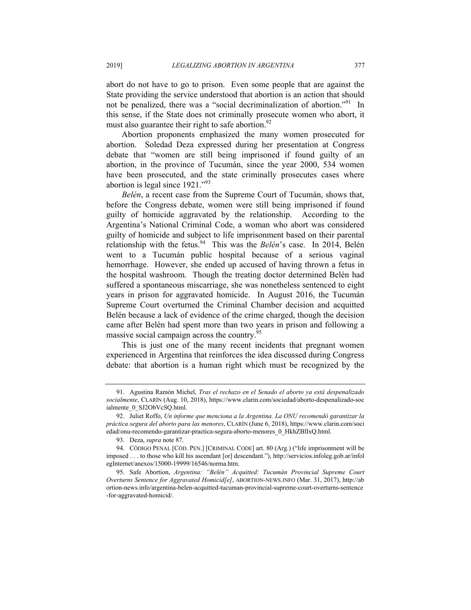abort do not have to go to prison. Even some people that are against the State providing the service understood that abortion is an action that should not be penalized, there was a "social decriminalization of abortion."<sup>91</sup> In this sense, if the State does not criminally prosecute women who abort, it must also guarantee their right to safe abortion. $92$ 

Abortion proponents emphasized the many women prosecuted for abortion. Soledad Deza expressed during her presentation at Congress debate that "women are still being imprisoned if found guilty of an abortion, in the province of Tucumán, since the year 2000, 534 women have been prosecuted, and the state criminally prosecutes cases where abortion is legal since 1921."93

*Belén*, a recent case from the Supreme Court of Tucumán, shows that, before the Congress debate, women were still being imprisoned if found guilty of homicide aggravated by the relationship. According to the Argentina's National Criminal Code, a woman who abort was considered guilty of homicide and subject to life imprisonment based on their parental relationship with the fetus.94 This was the *Belén*'s case. In 2014, Belén went to a Tucumán public hospital because of a serious vaginal hemorrhage. However, she ended up accused of having thrown a fetus in the hospital washroom. Though the treating doctor determined Belén had suffered a spontaneous miscarriage, she was nonetheless sentenced to eight years in prison for aggravated homicide. In August 2016, the Tucumán Supreme Court overturned the Criminal Chamber decision and acquitted Belén because a lack of evidence of the crime charged, though the decision came after Belén had spent more than two years in prison and following a massive social campaign across the country.<sup>95</sup>

This is just one of the many recent incidents that pregnant women experienced in Argentina that reinforces the idea discussed during Congress debate: that abortion is a human right which must be recognized by the

 <sup>91.</sup> Agustina Ramón Michel, *Tras el rechazo en el Senado el aborto ya está despenalizado socialmente*, CLARÍN (Aug. 10, 2018), https://www.clarin.com/sociedad/aborto-despenalizado-soc ialmente\_0\_SJ2ObVcSQ.html.

 <sup>92.</sup> Juliet Roffo, *Un informe que menciona a la Argentina. La ONU recomendó garantizar la práctica segura del aborto para las menores*, CLARÍN (June 6, 2018), https://www.clarin.com/soci edad/onu-recomendo-garantizar-practica-segura-aborto-menores\_0\_HkhZBlIxQ.html.

 <sup>93.</sup> Deza, *supra* note 87.

 <sup>94.</sup> CÓDIGO PENAL [CÓD. PEN.] [CRIMINAL CODE] art. 80 (Arg.) ("life imprisonment will be imposed . . . to those who kill his ascendant [or] descendant."), http://servicios.infoleg.gob.ar/infol egInternet/anexos/15000-19999/16546/norma.htm.

 <sup>95.</sup> Safe Abortion, *Argentina: "Belén" Acquitted: Tucumán Provincial Supreme Court Overturns Sentence for Aggravated Homicid[e]*, ABORTION-NEWS.INFO (Mar. 31, 2017), http://ab ortion-news.info/argentina-belen-acquitted-tucuman-provincial-supreme-court-overturns-sentence -for-aggravated-homicid/.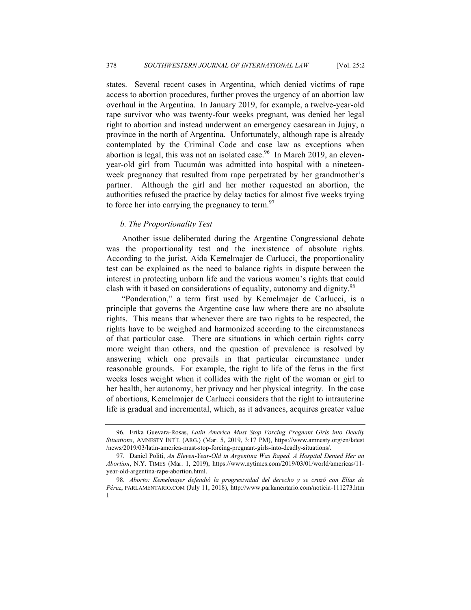states. Several recent cases in Argentina, which denied victims of rape access to abortion procedures, further proves the urgency of an abortion law overhaul in the Argentina. In January 2019, for example, a twelve-year-old rape survivor who was twenty-four weeks pregnant, was denied her legal right to abortion and instead underwent an emergency caesarean in Jujuy, a province in the north of Argentina. Unfortunately, although rape is already contemplated by the Criminal Code and case law as exceptions when abortion is legal, this was not an isolated case.<sup>96</sup> In March 2019, an elevenyear-old girl from Tucumán was admitted into hospital with a nineteenweek pregnancy that resulted from rape perpetrated by her grandmother's partner. Although the girl and her mother requested an abortion, the authorities refused the practice by delay tactics for almost five weeks trying to force her into carrying the pregnancy to term. $97$ 

# *b. The Proportionality Test*

Another issue deliberated during the Argentine Congressional debate was the proportionality test and the inexistence of absolute rights. According to the jurist, Aida Kemelmajer de Carlucci, the proportionality test can be explained as the need to balance rights in dispute between the interest in protecting unborn life and the various women's rights that could clash with it based on considerations of equality, autonomy and dignity.<sup>98</sup>

"Ponderation," a term first used by Kemelmajer de Carlucci, is a principle that governs the Argentine case law where there are no absolute rights. This means that whenever there are two rights to be respected, the rights have to be weighed and harmonized according to the circumstances of that particular case. There are situations in which certain rights carry more weight than others, and the question of prevalence is resolved by answering which one prevails in that particular circumstance under reasonable grounds. For example, the right to life of the fetus in the first weeks loses weight when it collides with the right of the woman or girl to her health, her autonomy, her privacy and her physical integrity. In the case of abortions, Kemelmajer de Carlucci considers that the right to intrauterine life is gradual and incremental, which, as it advances, acquires greater value

 <sup>96.</sup> Erika Guevara-Rosas, *Latin America Must Stop Forcing Pregnant Girls into Deadly Situations*, AMNESTY INT'L (ARG.) (Mar. 5, 2019, 3:17 PM), https://www.amnesty.org/en/latest /news/2019/03/latin-america-must-stop-forcing-pregnant-girls-into-deadly-situations/.

 <sup>97.</sup> Daniel Politi, *An Eleven-Year-Old in Argentina Was Raped. A Hospital Denied Her an Abortion*, N.Y. TIMES (Mar. 1, 2019), https://www.nytimes.com/2019/03/01/world/americas/11 year-old-argentina-rape-abortion.html.

 <sup>98.</sup> *Aborto: Kemelmajer defendió la progresividad del derecho y se cruzó con Elías de Pérez*, PARLAMENTARIO.COM (July 11, 2018), http://www.parlamentario.com/noticia-111273.htm l.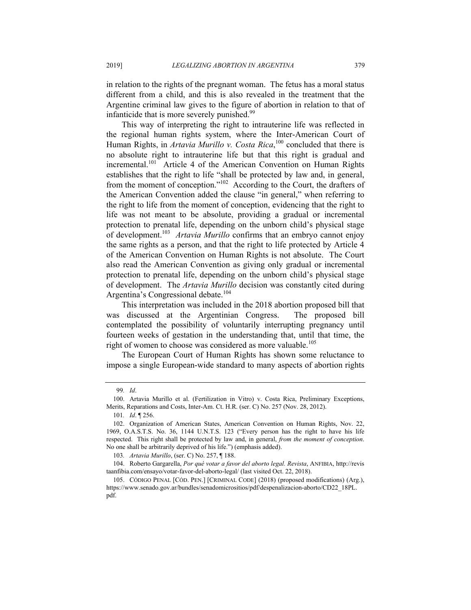in relation to the rights of the pregnant woman. The fetus has a moral status different from a child, and this is also revealed in the treatment that the Argentine criminal law gives to the figure of abortion in relation to that of infanticide that is more severely punished.<sup>99</sup>

This way of interpreting the right to intrauterine life was reflected in the regional human rights system, where the Inter-American Court of Human Rights, in *Artavia Murillo v. Costa Rica*,<sup>100</sup> concluded that there is no absolute right to intrauterine life but that this right is gradual and incremental.<sup>101</sup> Article 4 of the American Convention on Human Rights establishes that the right to life "shall be protected by law and, in general, from the moment of conception."102 According to the Court, the drafters of the American Convention added the clause "in general," when referring to the right to life from the moment of conception, evidencing that the right to life was not meant to be absolute, providing a gradual or incremental protection to prenatal life, depending on the unborn child's physical stage of development.103 *Artavia Murillo* confirms that an embryo cannot enjoy the same rights as a person, and that the right to life protected by Article 4 of the American Convention on Human Rights is not absolute. The Court also read the American Convention as giving only gradual or incremental protection to prenatal life, depending on the unborn child's physical stage of development. The *Artavia Murillo* decision was constantly cited during Argentina's Congressional debate.<sup>104</sup>

This interpretation was included in the 2018 abortion proposed bill that was discussed at the Argentinian Congress. The proposed bill contemplated the possibility of voluntarily interrupting pregnancy until fourteen weeks of gestation in the understanding that, until that time, the right of women to choose was considered as more valuable.<sup>105</sup>

The European Court of Human Rights has shown some reluctance to impose a single European-wide standard to many aspects of abortion rights

103*. Artavia Murillo*, (ser. C) No. 257, ¶ 188.

 104. Roberto Gargarella, *Por qué votar a favor del aborto legal. Revista*, ANFIBIA, http://revis taanfibia.com/ensayo/votar-favor-del-aborto-legal/ (last visited Oct. 22, 2018).

<sup>99</sup>*. Id*.

 <sup>100.</sup> Artavia Murillo et al. (Fertilization in Vitro) v. Costa Rica, Preliminary Exceptions, Merits, Reparations and Costs, Inter-Am. Ct. H.R. (ser. C) No. 257 (Nov. 28, 2012).

<sup>101</sup>*. Id*. ¶ 256.

 <sup>102.</sup> Organization of American States, American Convention on Human Rights, Nov. 22, 1969, O.A.S.T.S. No. 36, 1144 U.N.T.S. 123 ("Every person has the right to have his life respected. This right shall be protected by law and, in general, *from the moment of conception*. No one shall be arbitrarily deprived of his life.") (emphasis added).

 <sup>105.</sup> CÓDIGO PENAL [CÓD. PEN.] [CRIMINAL CODE] (2018) (proposed modifications) (Arg.), https://www.senado.gov.ar/bundles/senadomicrositios/pdf/despenalizacion-aborto/CD22\_18PL. pdf.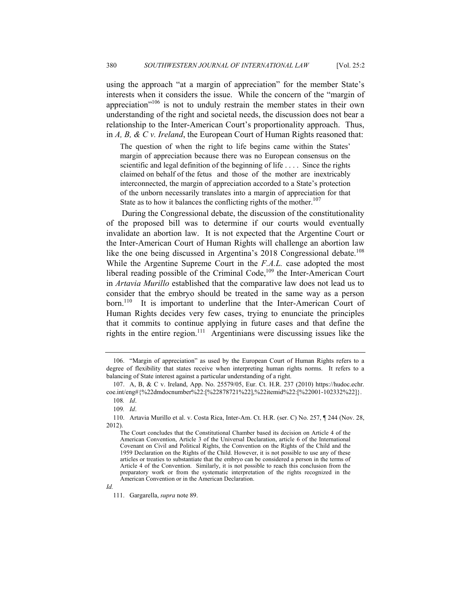using the approach "at a margin of appreciation" for the member State's interests when it considers the issue. While the concern of the "margin of appreciation"106 is not to unduly restrain the member states in their own understanding of the right and societal needs, the discussion does not bear a relationship to the Inter-American Court's proportionality approach. Thus, in *A, B, & C v. Ireland*, the European Court of Human Rights reasoned that:

The question of when the right to life begins came within the States' margin of appreciation because there was no European consensus on the scientific and legal definition of the beginning of life .... Since the rights claimed on behalf of the fetus and those of the mother are inextricably interconnected, the margin of appreciation accorded to a State's protection of the unborn necessarily translates into a margin of appreciation for that State as to how it balances the conflicting rights of the mother. $107$ 

During the Congressional debate, the discussion of the constitutionality of the proposed bill was to determine if our courts would eventually invalidate an abortion law. It is not expected that the Argentine Court or the Inter-American Court of Human Rights will challenge an abortion law like the one being discussed in Argentina's 2018 Congressional debate.<sup>108</sup> While the Argentine Supreme Court in the *F.A.L.* case adopted the most liberal reading possible of the Criminal Code,<sup>109</sup> the Inter-American Court in *Artavia Murillo* established that the comparative law does not lead us to consider that the embryo should be treated in the same way as a person born.<sup>110</sup> It is important to underline that the Inter-American Court of Human Rights decides very few cases, trying to enunciate the principles that it commits to continue applying in future cases and that define the rights in the entire region.111 Argentinians were discussing issues like the

*Id.* 

 <sup>106. &</sup>quot;Margin of appreciation" as used by the European Court of Human Rights refers to a degree of flexibility that states receive when interpreting human rights norms. It refers to a balancing of State interest against a particular understanding of a right.

 <sup>107.</sup> A, B, & C v. Ireland, App. No. 25579/05, Eur. Ct. H.R. 237 (2010) https://hudoc.echr. coe.int/eng#{%22dmdocnumber%22:[%22878721%22],%22itemid%22:[%22001-102332%22]}. 108*. Id*.

<sup>109</sup>*. Id*.

 <sup>110.</sup> Artavia Murillo et al. v. Costa Rica, Inter-Am. Ct. H.R. (ser. C) No. 257, ¶ 244 (Nov. 28, 2012).

The Court concludes that the Constitutional Chamber based its decision on Article 4 of the American Convention, Article 3 of the Universal Declaration, article 6 of the International Covenant on Civil and Political Rights, the Convention on the Rights of the Child and the 1959 Declaration on the Rights of the Child. However, it is not possible to use any of these articles or treaties to substantiate that the embryo can be considered a person in the terms of Article 4 of the Convention. Similarly, it is not possible to reach this conclusion from the preparatory work or from the systematic interpretation of the rights recognized in the American Convention or in the American Declaration.

 <sup>111.</sup> Gargarella, *supra* note 89.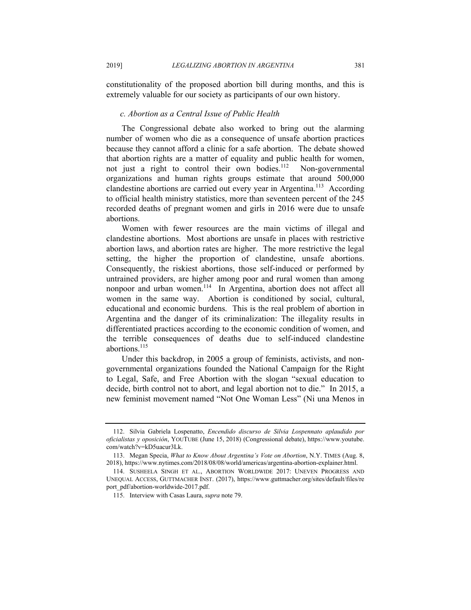constitutionality of the proposed abortion bill during months, and this is extremely valuable for our society as participants of our own history.

## *c. Abortion as a Central Issue of Public Health*

The Congressional debate also worked to bring out the alarming number of women who die as a consequence of unsafe abortion practices because they cannot afford a clinic for a safe abortion. The debate showed that abortion rights are a matter of equality and public health for women, not just a right to control their own bodies.<sup>112</sup> Non-governmental organizations and human rights groups estimate that around 500,000 clandestine abortions are carried out every year in Argentina.<sup>113</sup> According to official health ministry statistics, more than seventeen percent of the 245 recorded deaths of pregnant women and girls in 2016 were due to unsafe abortions.

Women with fewer resources are the main victims of illegal and clandestine abortions. Most abortions are unsafe in places with restrictive abortion laws, and abortion rates are higher. The more restrictive the legal setting, the higher the proportion of clandestine, unsafe abortions. Consequently, the riskiest abortions, those self-induced or performed by untrained providers, are higher among poor and rural women than among nonpoor and urban women.<sup>114</sup> In Argentina, abortion does not affect all women in the same way. Abortion is conditioned by social, cultural, educational and economic burdens. This is the real problem of abortion in Argentina and the danger of its criminalization: The illegality results in differentiated practices according to the economic condition of women, and the terrible consequences of deaths due to self-induced clandestine abortions.<sup>115</sup>

Under this backdrop, in 2005 a group of feminists, activists, and nongovernmental organizations founded the National Campaign for the Right to Legal, Safe, and Free Abortion with the slogan "sexual education to decide, birth control not to abort, and legal abortion not to die." In 2015, a new feminist movement named "Not One Woman Less" (Ni una Menos in

 <sup>112.</sup> Silvia Gabriela Lospenatto, *Encendido discurso de Silvia Lospennato aplaudido por oficialistas y oposición*, YOUTUBE (June 15, 2018) (Congressional debate), https://www.youtube. com/watch?v=kD5uacur3Lk.

 <sup>113.</sup> Megan Specia, *What to Know About Argentina's Vote on Abortion*, N.Y. TIMES (Aug. 8, 2018), https://www.nytimes.com/2018/08/08/world/americas/argentina-abortion-explainer.html.

 <sup>114.</sup> SUSHEELA SINGH ET AL., ABORTION WORLDWIDE 2017: UNEVEN PROGRESS AND UNEQUAL ACCESS, GUTTMACHER INST. (2017), https://www.guttmacher.org/sites/default/files/re port\_pdf/abortion-worldwide-2017.pdf.

 <sup>115.</sup> Interview with Casas Laura, *supra* note 79.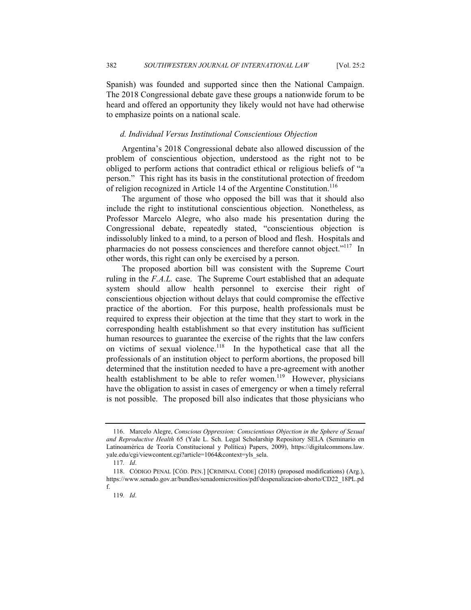Spanish) was founded and supported since then the National Campaign. The 2018 Congressional debate gave these groups a nationwide forum to be heard and offered an opportunity they likely would not have had otherwise to emphasize points on a national scale.

#### *d. Individual Versus Institutional Conscientious Objection*

Argentina's 2018 Congressional debate also allowed discussion of the problem of conscientious objection, understood as the right not to be obliged to perform actions that contradict ethical or religious beliefs of "a person." This right has its basis in the constitutional protection of freedom of religion recognized in Article 14 of the Argentine Constitution.<sup>116</sup>

The argument of those who opposed the bill was that it should also include the right to institutional conscientious objection. Nonetheless, as Professor Marcelo Alegre, who also made his presentation during the Congressional debate, repeatedly stated, "conscientious objection is indissolubly linked to a mind, to a person of blood and flesh. Hospitals and pharmacies do not possess consciences and therefore cannot object."<sup>117</sup> In other words, this right can only be exercised by a person.

The proposed abortion bill was consistent with the Supreme Court ruling in the *F.A.L.* case. The Supreme Court established that an adequate system should allow health personnel to exercise their right of conscientious objection without delays that could compromise the effective practice of the abortion. For this purpose, health professionals must be required to express their objection at the time that they start to work in the corresponding health establishment so that every institution has sufficient human resources to guarantee the exercise of the rights that the law confers on victims of sexual violence.<sup>118</sup> In the hypothetical case that all the professionals of an institution object to perform abortions, the proposed bill determined that the institution needed to have a pre-agreement with another health establishment to be able to refer women.<sup>119</sup> However, physicians have the obligation to assist in cases of emergency or when a timely referral is not possible. The proposed bill also indicates that those physicians who

 <sup>116.</sup> Marcelo Alegre, *Conscious Oppression: Conscientious Objection in the Sphere of Sexual and Reproductive Health* 65 (Yale L. Sch. Legal Scholarship Repository SELA (Seminario en Latinoamérica de Teoría Constitucional y Política) Papers, 2009), https://digitalcommons.law. yale.edu/cgi/viewcontent.cgi?article=1064&context=yls\_sela.

<sup>117</sup>*. Id*.

 <sup>118.</sup> CÓDIGO PENAL [CÓD. PEN.] [CRIMINAL CODE] (2018) (proposed modifications) (Arg.), https://www.senado.gov.ar/bundles/senadomicrositios/pdf/despenalizacion-aborto/CD22\_18PL.pd f.

<sup>119</sup>*. Id*.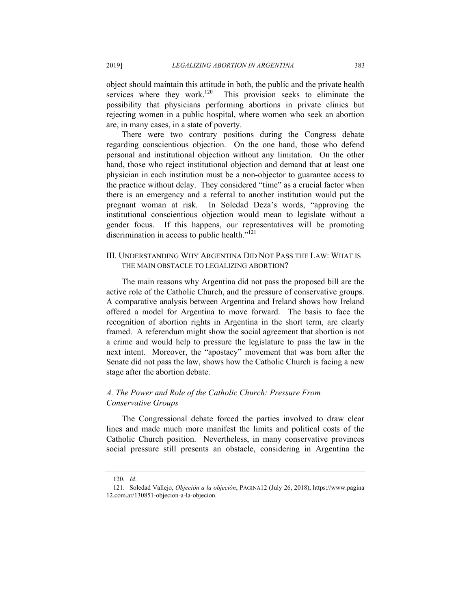object should maintain this attitude in both, the public and the private health services where they work.<sup>120</sup> This provision seeks to eliminate the possibility that physicians performing abortions in private clinics but rejecting women in a public hospital, where women who seek an abortion are, in many cases, in a state of poverty.

There were two contrary positions during the Congress debate regarding conscientious objection. On the one hand, those who defend personal and institutional objection without any limitation. On the other hand, those who reject institutional objection and demand that at least one physician in each institution must be a non-objector to guarantee access to the practice without delay. They considered "time" as a crucial factor when there is an emergency and a referral to another institution would put the pregnant woman at risk. In Soledad Deza's words, "approving the institutional conscientious objection would mean to legislate without a gender focus. If this happens, our representatives will be promoting discrimination in access to public health."121

# III. UNDERSTANDING WHY ARGENTINA DID NOT PASS THE LAW: WHAT IS THE MAIN OBSTACLE TO LEGALIZING ABORTION?

The main reasons why Argentina did not pass the proposed bill are the active role of the Catholic Church, and the pressure of conservative groups. A comparative analysis between Argentina and Ireland shows how Ireland offered a model for Argentina to move forward. The basis to face the recognition of abortion rights in Argentina in the short term, are clearly framed. A referendum might show the social agreement that abortion is not a crime and would help to pressure the legislature to pass the law in the next intent. Moreover, the "apostacy" movement that was born after the Senate did not pass the law, shows how the Catholic Church is facing a new stage after the abortion debate.

# *A. The Power and Role of the Catholic Church: Pressure From Conservative Groups*

The Congressional debate forced the parties involved to draw clear lines and made much more manifest the limits and political costs of the Catholic Church position. Nevertheless, in many conservative provinces social pressure still presents an obstacle, considering in Argentina the

<sup>120</sup>*. Id*.

 <sup>121.</sup> Soledad Vallejo, *Objeción a la objeción*, PÁGINA12 (July 26, 2018), https://www.pagina 12.com.ar/130851-objecion-a-la-objecion.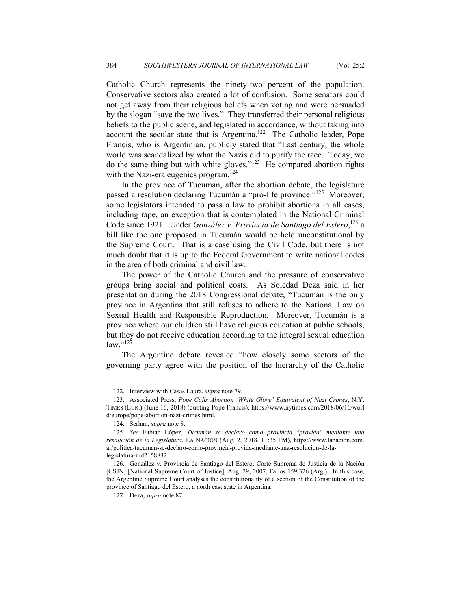Catholic Church represents the ninety-two percent of the population. Conservative sectors also created a lot of confusion. Some senators could not get away from their religious beliefs when voting and were persuaded by the slogan "save the two lives." They transferred their personal religious beliefs to the public scene, and legislated in accordance, without taking into account the secular state that is Argentina.<sup>122</sup> The Catholic leader, Pope Francis, who is Argentinian, publicly stated that "Last century, the whole world was scandalized by what the Nazis did to purify the race. Today, we do the same thing but with white gloves."123 He compared abortion rights with the Nazi-era eugenics program.<sup>124</sup>

In the province of Tucumán, after the abortion debate, the legislature passed a resolution declaring Tucumán a "pro-life province."125 Moreover, some legislators intended to pass a law to prohibit abortions in all cases, including rape, an exception that is contemplated in the National Criminal Code since 1921. Under *González v. Provincia de Santiago del Estero*,<sup>126</sup> a bill like the one proposed in Tucumán would be held unconstitutional by the Supreme Court. That is a case using the Civil Code, but there is not much doubt that it is up to the Federal Government to write national codes in the area of both criminal and civil law.

The power of the Catholic Church and the pressure of conservative groups bring social and political costs. As Soledad Deza said in her presentation during the 2018 Congressional debate, "Tucumán is the only province in Argentina that still refuses to adhere to the National Law on Sexual Health and Responsible Reproduction. Moreover, Tucumán is a province where our children still have religious education at public schools, but they do not receive education according to the integral sexual education  $law.$ "<sup>127</sup>

The Argentine debate revealed "how closely some sectors of the governing party agree with the position of the hierarchy of the Catholic

 <sup>122.</sup> Interview with Casas Laura, *supra* note 79.

 <sup>123.</sup> Associated Press, *Pope Calls Abortion 'White Glove' Equivalent of Nazi Crimes*, N.Y. TIMES (EUR.) (June 16, 2018) (quoting Pope Francis), https://www.nytimes.com/2018/06/16/worl d/europe/pope-abortion-nazi-crimes.html.

 <sup>124.</sup> Serhan, *supra* note 8.

 <sup>125.</sup> *See* Fabián López, *Tucumán se declaró como provincia "provida" mediante una resolución de la Legislatura*, LA NACION (Aug. 2, 2018, 11:35 PM), https://www.lanacion.com. ar/politica/tucuman-se-declaro-como-provincia-provida-mediante-una-resolucion-de-lalegislatura-nid2158832.

 <sup>126.</sup> González v. Provincia de Santiago del Estero, Corte Suprema de Justicia de la Nación [CSJN] [National Supreme Court of Justice], Aug. 29, 2007, Fallos 159:326 (Arg.). In this case, the Argentine Supreme Court analyses the constitutionality of a section of the Constitution of the province of Santiago del Estero, a north east state in Argentina.

 <sup>127.</sup> Deza, *supra* note 87.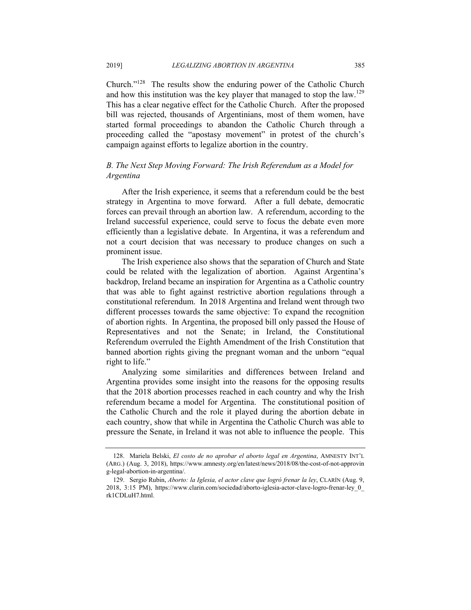Church."128 The results show the enduring power of the Catholic Church and how this institution was the key player that managed to stop the law.<sup>129</sup> This has a clear negative effect for the Catholic Church. After the proposed bill was rejected, thousands of Argentinians, most of them women, have started formal proceedings to abandon the Catholic Church through a proceeding called the "apostasy movement" in protest of the church's campaign against efforts to legalize abortion in the country.

# *B. The Next Step Moving Forward: The Irish Referendum as a Model for Argentina*

After the Irish experience, it seems that a referendum could be the best strategy in Argentina to move forward. After a full debate, democratic forces can prevail through an abortion law. A referendum, according to the Ireland successful experience, could serve to focus the debate even more efficiently than a legislative debate. In Argentina, it was a referendum and not a court decision that was necessary to produce changes on such a prominent issue.

The Irish experience also shows that the separation of Church and State could be related with the legalization of abortion. Against Argentina's backdrop, Ireland became an inspiration for Argentina as a Catholic country that was able to fight against restrictive abortion regulations through a constitutional referendum. In 2018 Argentina and Ireland went through two different processes towards the same objective: To expand the recognition of abortion rights. In Argentina, the proposed bill only passed the House of Representatives and not the Senate; in Ireland, the Constitutional Referendum overruled the Eighth Amendment of the Irish Constitution that banned abortion rights giving the pregnant woman and the unborn "equal right to life."

Analyzing some similarities and differences between Ireland and Argentina provides some insight into the reasons for the opposing results that the 2018 abortion processes reached in each country and why the Irish referendum became a model for Argentina. The constitutional position of the Catholic Church and the role it played during the abortion debate in each country, show that while in Argentina the Catholic Church was able to pressure the Senate, in Ireland it was not able to influence the people. This

 <sup>128.</sup> Mariela Belski, *El costo de no aprobar el aborto legal en Argentina*, AMNESTY INT'L (ARG.) (Aug. 3, 2018), https://www.amnesty.org/en/latest/news/2018/08/the-cost-of-not-approvin g-legal-abortion-in-argentina/.

 <sup>129.</sup> Sergio Rubin, *Aborto: la Iglesia, el actor clave que logró frenar la ley*, CLARÍN (Aug. 9, 2018, 3:15 PM), https://www.clarin.com/sociedad/aborto-iglesia-actor-clave-logro-frenar-ley\_0\_ rk1CDLuH7.html.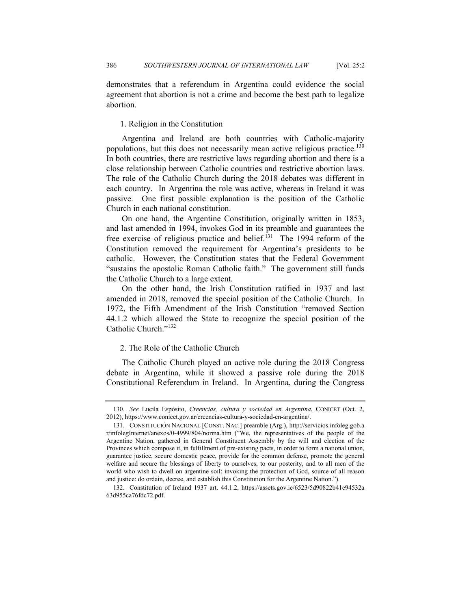demonstrates that a referendum in Argentina could evidence the social agreement that abortion is not a crime and become the best path to legalize abortion.

# 1. Religion in the Constitution

Argentina and Ireland are both countries with Catholic-majority populations, but this does not necessarily mean active religious practice.<sup>130</sup> In both countries, there are restrictive laws regarding abortion and there is a close relationship between Catholic countries and restrictive abortion laws. The role of the Catholic Church during the 2018 debates was different in each country. In Argentina the role was active, whereas in Ireland it was passive. One first possible explanation is the position of the Catholic Church in each national constitution.

On one hand, the Argentine Constitution, originally written in 1853, and last amended in 1994, invokes God in its preamble and guarantees the free exercise of religious practice and belief.<sup>131</sup> The 1994 reform of the Constitution removed the requirement for Argentina's presidents to be catholic. However, the Constitution states that the Federal Government "sustains the apostolic Roman Catholic faith." The government still funds the Catholic Church to a large extent.

On the other hand, the Irish Constitution ratified in 1937 and last amended in 2018, removed the special position of the Catholic Church. In 1972, the Fifth Amendment of the Irish Constitution "removed Section 44.1.2 which allowed the State to recognize the special position of the Catholic Church."<sup>132</sup>

# 2. The Role of the Catholic Church

The Catholic Church played an active role during the 2018 Congress debate in Argentina, while it showed a passive role during the 2018 Constitutional Referendum in Ireland. In Argentina, during the Congress

 <sup>130.</sup> *See* Lucila Espósito, *Creencias, cultura y sociedad en Argentina*, CONICET (Oct. 2, 2012), https://www.conicet.gov.ar/creencias-cultura-y-sociedad-en-argentina/.

 <sup>131.</sup> CONSTITUCIÓN NACIONAL [CONST. NAC.] preamble (Arg.), http://servicios.infoleg.gob.a r/infolegInternet/anexos/0-4999/804/norma.htm ("We, the representatives of the people of the Argentine Nation, gathered in General Constituent Assembly by the will and election of the Provinces which compose it, in fulfillment of pre-existing pacts, in order to form a national union, guarantee justice, secure domestic peace, provide for the common defense, promote the general welfare and secure the blessings of liberty to ourselves, to our posterity, and to all men of the world who wish to dwell on argentine soil: invoking the protection of God, source of all reason and justice: do ordain, decree, and establish this Constitution for the Argentine Nation.").

 <sup>132.</sup> Constitution of Ireland 1937 art. 44.1.2, https://assets.gov.ie/6523/5d90822b41e94532a 63d955ca76fdc72.pdf.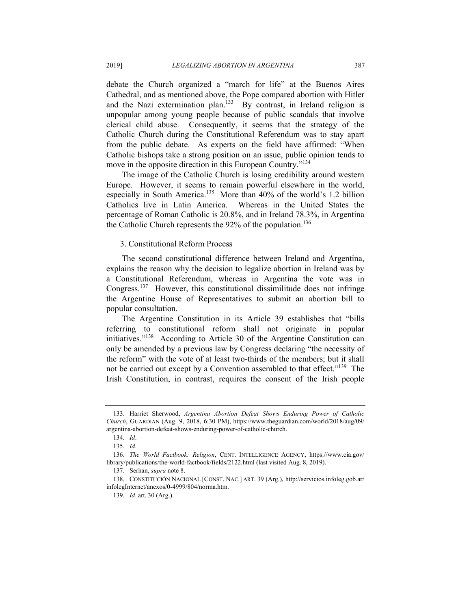debate the Church organized a "march for life" at the Buenos Aires Cathedral, and as mentioned above, the Pope compared abortion with Hitler and the Nazi extermination plan.<sup>133</sup> By contrast, in Ireland religion is unpopular among young people because of public scandals that involve clerical child abuse. Consequently, it seems that the strategy of the Catholic Church during the Constitutional Referendum was to stay apart from the public debate. As experts on the field have affirmed: "When Catholic bishops take a strong position on an issue, public opinion tends to move in the opposite direction in this European Country."<sup>134</sup>

The image of the Catholic Church is losing credibility around western Europe. However, it seems to remain powerful elsewhere in the world, especially in South America.<sup>135</sup> More than 40% of the world's 1.2 billion Catholics live in Latin America. Whereas in the United States the percentage of Roman Catholic is 20.8%, and in Ireland 78.3%, in Argentina the Catholic Church represents the  $92\%$  of the population.<sup>136</sup>

#### 3. Constitutional Reform Process

The second constitutional difference between Ireland and Argentina, explains the reason why the decision to legalize abortion in Ireland was by a Constitutional Referendum, whereas in Argentina the vote was in Congress.137 However, this constitutional dissimilitude does not infringe the Argentine House of Representatives to submit an abortion bill to popular consultation.

The Argentine Constitution in its Article 39 establishes that "bills referring to constitutional reform shall not originate in popular initiatives."138 According to Article 30 of the Argentine Constitution can only be amended by a previous law by Congress declaring "the necessity of the reform" with the vote of at least two-thirds of the members; but it shall not be carried out except by a Convention assembled to that effect."<sup>139</sup> The Irish Constitution, in contrast, requires the consent of the Irish people

 <sup>133.</sup> Harriet Sherwood, *Argentina Abortion Defeat Shows Enduring Power of Catholic Church*, GUARDIAN (Aug. 9, 2018, 6:30 PM), https://www.theguardian.com/world/2018/aug/09/ argentina-abortion-defeat-shows-enduring-power-of-catholic-church.

<sup>134</sup>*. Id*.

 <sup>135.</sup> *Id*.

 <sup>136.</sup> *The World Factbook: Religion*, CENT. INTELLIGENCE AGENCY, https://www.cia.gov/ library/publications/the-world-factbook/fields/2122.html (last visited Aug. 8, 2019).

 <sup>137.</sup> Serhan, *supra* note 8.

 <sup>138.</sup> CONSTITUCIÓN NACIONAL [CONST. NAC.] ART. 39 (Arg.), http://servicios.infoleg.gob.ar/ infolegInternet/anexos/0-4999/804/norma.htm.

 <sup>139.</sup> *Id*. art. 30 (Arg.).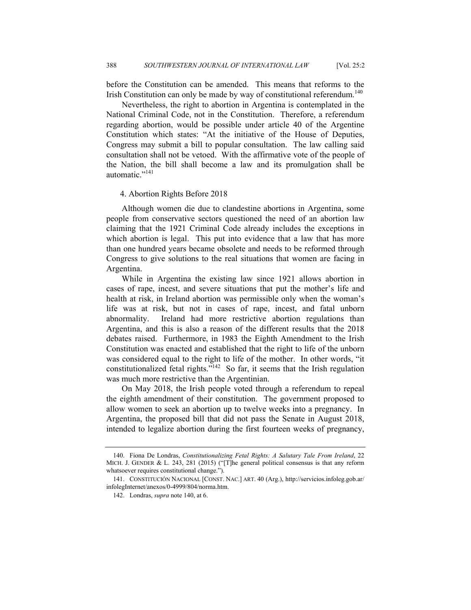before the Constitution can be amended. This means that reforms to the Irish Constitution can only be made by way of constitutional referendum.<sup>140</sup>

Nevertheless, the right to abortion in Argentina is contemplated in the National Criminal Code, not in the Constitution. Therefore, a referendum regarding abortion, would be possible under article 40 of the Argentine Constitution which states: "At the initiative of the House of Deputies, Congress may submit a bill to popular consultation. The law calling said consultation shall not be vetoed. With the affirmative vote of the people of the Nation, the bill shall become a law and its promulgation shall be automatic."<sup>141</sup>

#### 4. Abortion Rights Before 2018

Although women die due to clandestine abortions in Argentina, some people from conservative sectors questioned the need of an abortion law claiming that the 1921 Criminal Code already includes the exceptions in which abortion is legal. This put into evidence that a law that has more than one hundred years became obsolete and needs to be reformed through Congress to give solutions to the real situations that women are facing in Argentina.

While in Argentina the existing law since 1921 allows abortion in cases of rape, incest, and severe situations that put the mother's life and health at risk, in Ireland abortion was permissible only when the woman's life was at risk, but not in cases of rape, incest, and fatal unborn abnormality. Ireland had more restrictive abortion regulations than Argentina, and this is also a reason of the different results that the 2018 debates raised. Furthermore, in 1983 the Eighth Amendment to the Irish Constitution was enacted and established that the right to life of the unborn was considered equal to the right to life of the mother. In other words, "it constitutionalized fetal rights."<sup>142</sup> So far, it seems that the Irish regulation was much more restrictive than the Argentinian.

On May 2018, the Irish people voted through a referendum to repeal the eighth amendment of their constitution. The government proposed to allow women to seek an abortion up to twelve weeks into a pregnancy. In Argentina, the proposed bill that did not pass the Senate in August 2018, intended to legalize abortion during the first fourteen weeks of pregnancy,

 <sup>140.</sup> Fiona De Londras, *Constitutionalizing Fetal Rights: A Salutary Tale From Ireland*, 22 MICH. J. GENDER & L. 243, 281 (2015) ("[T]he general political consensus is that any reform whatsoever requires constitutional change.").

 <sup>141.</sup> CONSTITUCIÓN NACIONAL [CONST. NAC.] ART. 40 (Arg.), http://servicios.infoleg.gob.ar/ infolegInternet/anexos/0-4999/804/norma.htm.

 <sup>142.</sup> Londras, *supra* note 140, at 6.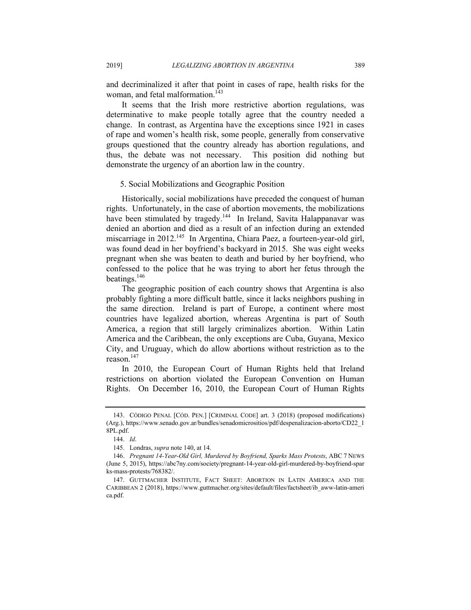and decriminalized it after that point in cases of rape, health risks for the woman, and fetal malformation.<sup>143</sup>

It seems that the Irish more restrictive abortion regulations, was determinative to make people totally agree that the country needed a change. In contrast, as Argentina have the exceptions since 1921 in cases of rape and women's health risk, some people, generally from conservative groups questioned that the country already has abortion regulations, and thus, the debate was not necessary. This position did nothing but demonstrate the urgency of an abortion law in the country.

## 5. Social Mobilizations and Geographic Position

Historically, social mobilizations have preceded the conquest of human rights. Unfortunately, in the case of abortion movements, the mobilizations have been stimulated by tragedy.<sup>144</sup> In Ireland, Savita Halappanavar was denied an abortion and died as a result of an infection during an extended miscarriage in 2012.<sup>145</sup> In Argentina, Chiara Paez, a fourteen-year-old girl, was found dead in her boyfriend's backyard in 2015. She was eight weeks pregnant when she was beaten to death and buried by her boyfriend, who confessed to the police that he was trying to abort her fetus through the beatings. $146$ 

The geographic position of each country shows that Argentina is also probably fighting a more difficult battle, since it lacks neighbors pushing in the same direction. Ireland is part of Europe, a continent where most countries have legalized abortion, whereas Argentina is part of South America, a region that still largely criminalizes abortion. Within Latin America and the Caribbean, the only exceptions are Cuba, Guyana, Mexico City, and Uruguay, which do allow abortions without restriction as to the reason.147

In 2010, the European Court of Human Rights held that Ireland restrictions on abortion violated the European Convention on Human Rights. On December 16, 2010, the European Court of Human Rights

 <sup>143.</sup> CÓDIGO PENAL [CÓD. PEN.] [CRIMINAL CODE] art. 3 (2018) (proposed modifications) (Arg.), https://www.senado.gov.ar/bundles/senadomicrositios/pdf/despenalizacion-aborto/CD22\_1 8PL.pdf.

 <sup>144.</sup> *Id*.

 <sup>145.</sup> Londras, *supra* note 140, at 14.

 <sup>146.</sup> *Pregnant 14-Year-Old Girl, Murdered by Boyfriend, Sparks Mass Protests*, ABC 7 NEWS (June 5, 2015), https://abc7ny.com/society/pregnant-14-year-old-girl-murdered-by-boyfriend-spar ks-mass-protests/768382/.

 <sup>147.</sup> GUTTMACHER INSTITUTE, FACT SHEET: ABORTION IN LATIN AMERICA AND THE CARIBBEAN 2 (2018), https://www.guttmacher.org/sites/default/files/factsheet/ib\_aww-latin-ameri ca.pdf.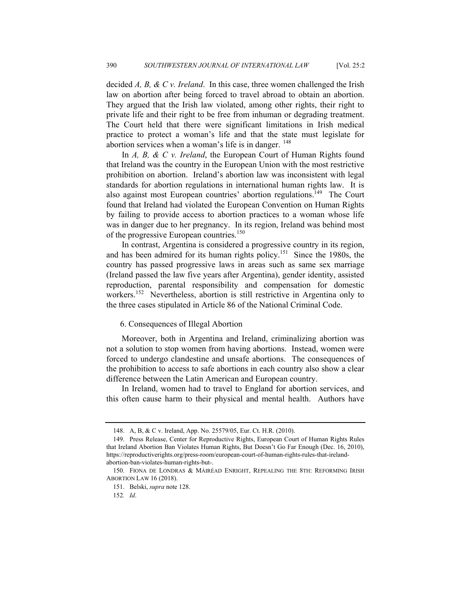decided *A, B, & C v. Ireland*. In this case, three women challenged the Irish law on abortion after being forced to travel abroad to obtain an abortion. They argued that the Irish law violated, among other rights, their right to private life and their right to be free from inhuman or degrading treatment. The Court held that there were significant limitations in Irish medical practice to protect a woman's life and that the state must legislate for abortion services when a woman's life is in danger.  $148$ 

In *A, B, & C v. Ireland*, the European Court of Human Rights found that Ireland was the country in the European Union with the most restrictive prohibition on abortion. Ireland's abortion law was inconsistent with legal standards for abortion regulations in international human rights law. It is also against most European countries' abortion regulations.<sup>149</sup> The Court found that Ireland had violated the European Convention on Human Rights by failing to provide access to abortion practices to a woman whose life was in danger due to her pregnancy. In its region, Ireland was behind most of the progressive European countries.<sup>150</sup>

In contrast, Argentina is considered a progressive country in its region, and has been admired for its human rights policy.151 Since the 1980s, the country has passed progressive laws in areas such as same sex marriage (Ireland passed the law five years after Argentina), gender identity, assisted reproduction, parental responsibility and compensation for domestic workers.<sup>152</sup> Nevertheless, abortion is still restrictive in Argentina only to the three cases stipulated in Article 86 of the National Criminal Code.

# 6. Consequences of Illegal Abortion

Moreover, both in Argentina and Ireland, criminalizing abortion was not a solution to stop women from having abortions. Instead, women were forced to undergo clandestine and unsafe abortions. The consequences of the prohibition to access to safe abortions in each country also show a clear difference between the Latin American and European country.

In Ireland, women had to travel to England for abortion services, and this often cause harm to their physical and mental health. Authors have

 <sup>148.</sup> A, B, & C v. Ireland, App. No. 25579/05, Eur. Ct. H.R. (2010).

 <sup>149.</sup> Press Release, Center for Reproductive Rights, European Court of Human Rights Rules that Ireland Abortion Ban Violates Human Rights, But Doesn't Go Far Enough (Dec. 16, 2010), https://reproductiverights.org/press-room/european-court-of-human-rights-rules-that-irelandabortion-ban-violates-human-rights-but-.

 <sup>150.</sup> FIONA DE LONDRAS & MÁIRÉAD ENRIGHT, REPEALING THE 8TH: REFORMING IRISH ABORTION LAW 16 (2018).

 <sup>151.</sup> Belski, *supra* note 128.

<sup>152</sup>*. Id*.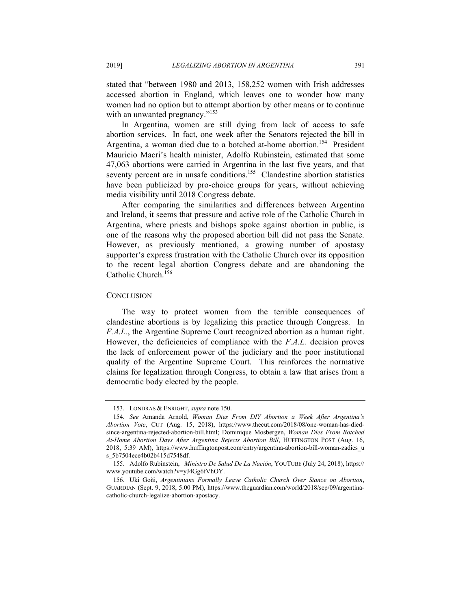stated that "between 1980 and 2013, 158,252 women with Irish addresses accessed abortion in England, which leaves one to wonder how many women had no option but to attempt abortion by other means or to continue with an unwanted pregnancy."<sup>153</sup>

In Argentina, women are still dying from lack of access to safe abortion services. In fact, one week after the Senators rejected the bill in Argentina, a woman died due to a botched at-home abortion.<sup>154</sup> President Mauricio Macri's health minister, Adolfo Rubinstein, estimated that some 47,063 abortions were carried in Argentina in the last five years, and that seventy percent are in unsafe conditions.<sup>155</sup> Clandestine abortion statistics have been publicized by pro-choice groups for years, without achieving media visibility until 2018 Congress debate.

After comparing the similarities and differences between Argentina and Ireland, it seems that pressure and active role of the Catholic Church in Argentina, where priests and bishops spoke against abortion in public, is one of the reasons why the proposed abortion bill did not pass the Senate. However, as previously mentioned, a growing number of apostasy supporter's express frustration with the Catholic Church over its opposition to the recent legal abortion Congress debate and are abandoning the Catholic Church.<sup>156</sup>

#### **CONCLUSION**

The way to protect women from the terrible consequences of clandestine abortions is by legalizing this practice through Congress. In *F.A.L.*, the Argentine Supreme Court recognized abortion as a human right. However, the deficiencies of compliance with the *F.A.L.* decision proves the lack of enforcement power of the judiciary and the poor institutional quality of the Argentine Supreme Court. This reinforces the normative claims for legalization through Congress, to obtain a law that arises from a democratic body elected by the people.

 <sup>153.</sup> LONDRAS & ENRIGHT, *supra* note 150.

<sup>154</sup>*. See* Amanda Arnold, *Woman Dies From DIY Abortion a Week After Argentina's Abortion Vote*, CUT (Aug. 15, 2018), https://www.thecut.com/2018/08/one-woman-has-diedsince-argentina-rejected-abortion-bill.html; Dominique Mosbergen, *Woman Dies From Botched At-Home Abortion Days After Argentina Rejects Abortion Bill*, HUFFINGTON POST (Aug. 16, 2018, 5:39 AM), https://www.huffingtonpost.com/entry/argentina-abortion-bill-woman-zadies\_u s\_5b7504ece4b02b415d7548df.

 <sup>155.</sup> Adolfo Rubinstein, *Ministro De Salud De La Nación*, YOUTUBE (July 24, 2018), https:// www.youtube.com/watch?v=yJ4Gg6fVhOY.

 <sup>156.</sup> Uki Goñi, *Argentinians Formally Leave Catholic Church Over Stance on Abortion*, GUARDIAN (Sept. 9, 2018, 5:00 PM), https://www.theguardian.com/world/2018/sep/09/argentinacatholic-church-legalize-abortion-apostacy.